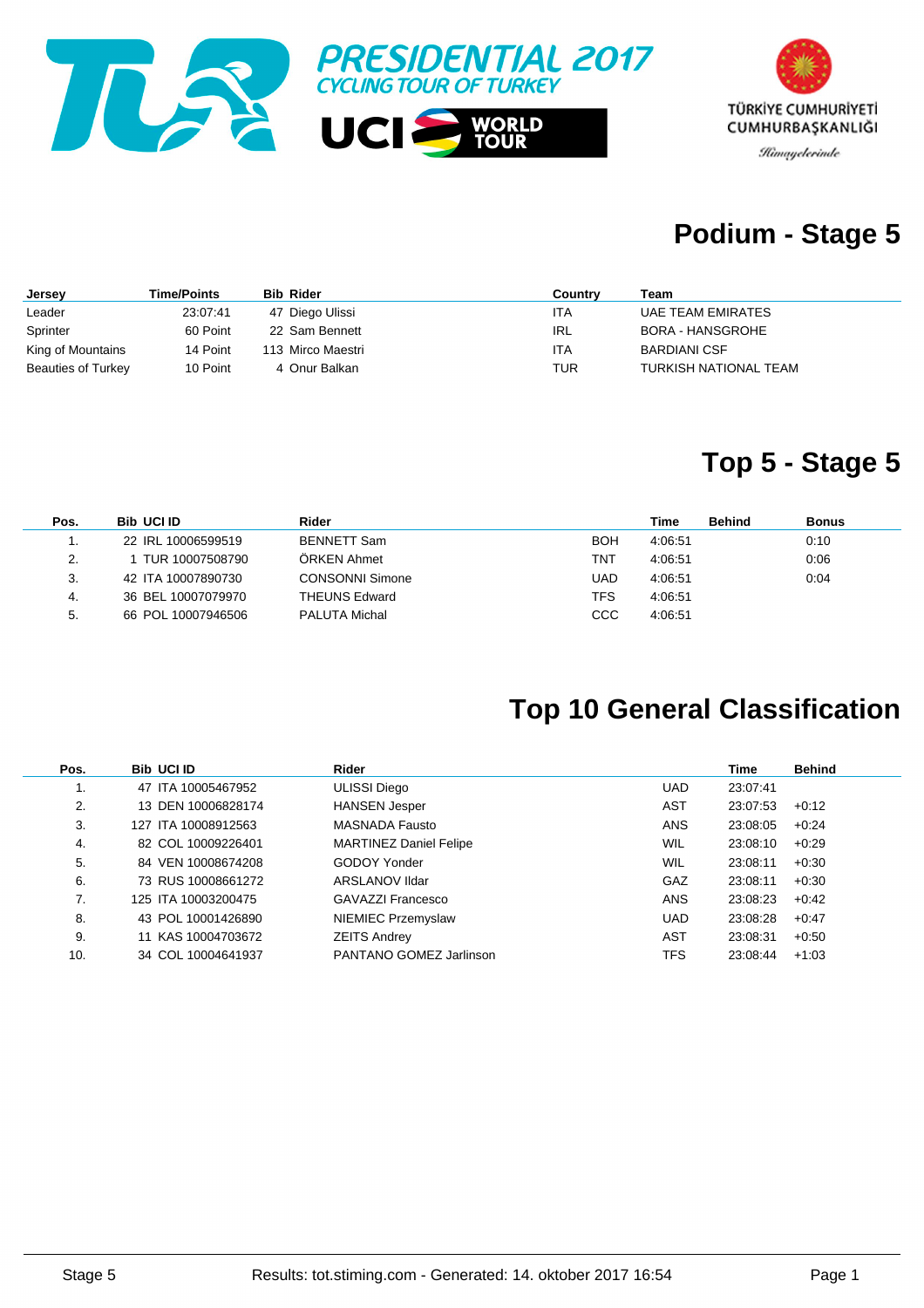



### **Podium - Stage 5**

| Jersey                    | <b>Time/Points</b> | <b>Bib Rider</b>  | Country | Team                  |
|---------------------------|--------------------|-------------------|---------|-----------------------|
| Leader                    | 23:07:41           | 47 Diego Ulissi   | ITA     | UAE TEAM EMIRATES     |
| Sprinter                  | 60 Point           | 22 Sam Bennett    | IRL     | BORA - HANSGROHE      |
| King of Mountains         | 14 Point           | 113 Mirco Maestri | ITA     | <b>BARDIANI CSF</b>   |
| <b>Beauties of Turkey</b> | 10 Point           | 4 Onur Balkan     | TUR     | TURKISH NATIONAL TEAM |

#### **Top 5 - Stage 5**

| Pos. | <b>Bib UCI ID</b>  | Rider                  |      | Time    | <b>Behind</b> | <b>Bonus</b> |
|------|--------------------|------------------------|------|---------|---------------|--------------|
|      | 22 IRL 10006599519 | <b>BENNETT Sam</b>     | BOH  | 4:06:51 |               | 0:10         |
| 2.   | TUR 10007508790    | ÖRKEN Ahmet            | TNT  | 4:06:51 |               | 0:06         |
| 3.   | 42 ITA 10007890730 | <b>CONSONNI Simone</b> | UAD  | 4:06:51 |               | 0:04         |
| 4.   | 36 BEL 10007079970 | <b>THEUNS Edward</b>   | TFS  | 4:06:51 |               |              |
| 5.   | 66 POL 10007946506 | PALUTA Michal          | CCC. | 4:06:51 |               |              |

### **Top 10 General Classification**

| Pos. | <b>Bib UCI ID</b>   | Rider                         |            | <b>Time</b> | <b>Behind</b> |
|------|---------------------|-------------------------------|------------|-------------|---------------|
| 1.   | 47 ITA 10005467952  | <b>ULISSI Diego</b>           | <b>UAD</b> | 23:07:41    |               |
| 2.   | 13 DEN 10006828174  | <b>HANSEN Jesper</b>          | AST        | 23:07:53    | $+0.12$       |
| 3.   | 127 ITA 10008912563 | <b>MASNADA Fausto</b>         | <b>ANS</b> | 23:08:05    | $+0.24$       |
| 4.   | 82 COL 10009226401  | <b>MARTINEZ Daniel Felipe</b> | <b>WIL</b> | 23:08:10    | $+0.29$       |
| 5.   | 84 VEN 10008674208  | GODOY Yonder                  | WIL        | 23:08:11    | $+0.30$       |
| 6.   | 73 RUS 10008661272  | ARSLANOV IIdar                | GAZ        | 23:08:11    | $+0.30$       |
| 7.   | 125 ITA 10003200475 | GAVAZZI Francesco             | <b>ANS</b> | 23:08:23    | $+0.42$       |
| 8.   | 43 POL 10001426890  | NIEMIEC Przemyslaw            | <b>UAD</b> | 23:08:28    | $+0:47$       |
| 9.   | 11 KAS 10004703672  | <b>ZEITS Andrey</b>           | AST        | 23:08:31    | $+0.50$       |
| 10.  | 34 COL 10004641937  | PANTANO GOMEZ Jarlinson       | TFS        | 23:08:44    | $+1:03$       |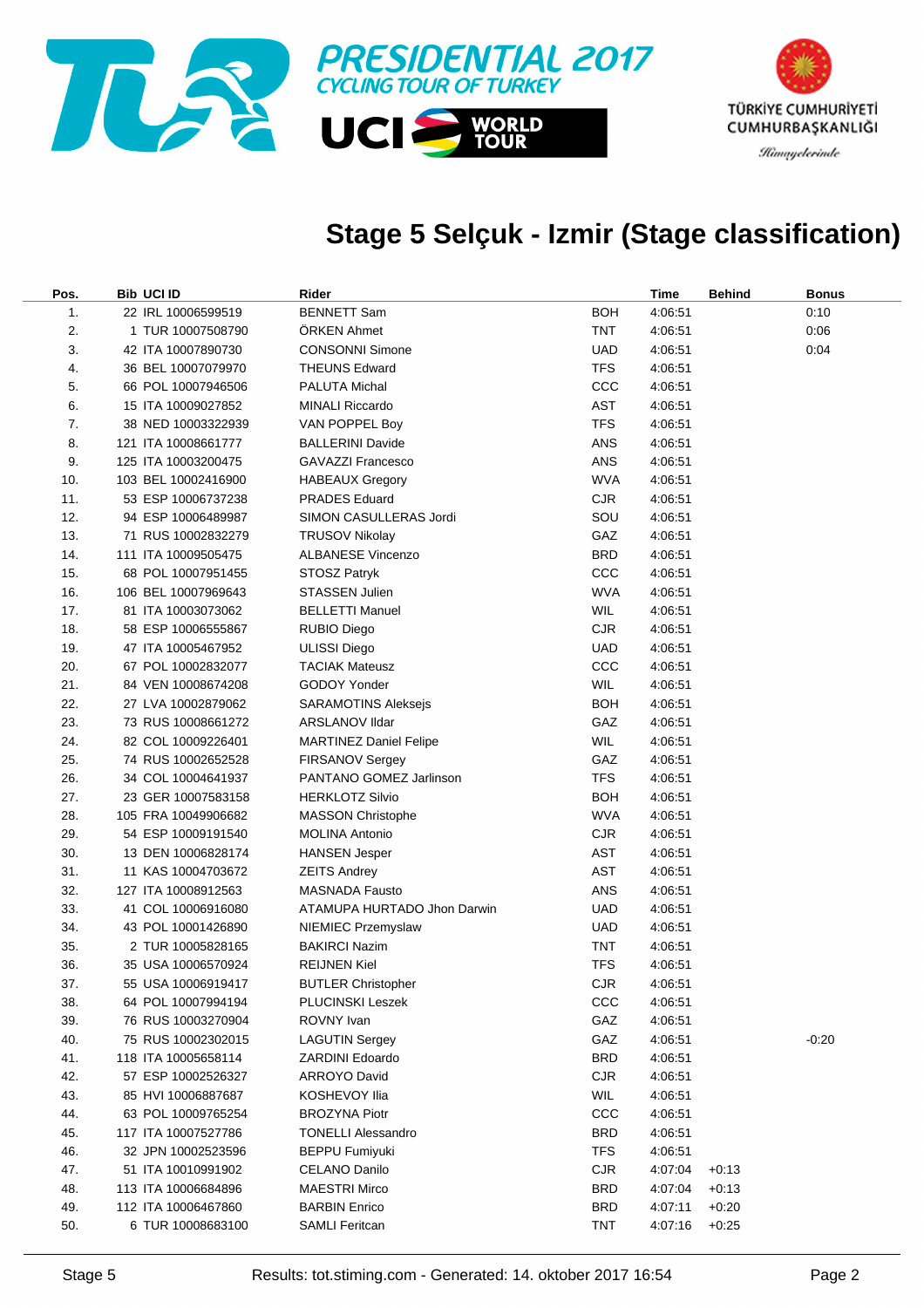

### **Stage 5 Selçuk - Izmir (Stage classification)**

| Pos. | <b>Bib UCI ID</b>   | Rider                         |            | Time    | <b>Behind</b> | Bonus   |
|------|---------------------|-------------------------------|------------|---------|---------------|---------|
| 1.   | 22 IRL 10006599519  | <b>BENNETT Sam</b>            | <b>BOH</b> | 4:06:51 |               | 0:10    |
| 2.   | 1 TUR 10007508790   | ÖRKEN Ahmet                   | TNT        | 4:06:51 |               | 0:06    |
| 3.   | 42 ITA 10007890730  | <b>CONSONNI Simone</b>        | <b>UAD</b> | 4:06:51 |               | 0:04    |
| 4.   | 36 BEL 10007079970  | <b>THEUNS Edward</b>          | <b>TFS</b> | 4:06:51 |               |         |
| 5.   | 66 POL 10007946506  | PALUTA Michal                 | CCC        | 4:06:51 |               |         |
| 6.   | 15 ITA 10009027852  | <b>MINALI Riccardo</b>        | AST        | 4:06:51 |               |         |
| 7.   | 38 NED 10003322939  | VAN POPPEL Boy                | <b>TFS</b> | 4:06:51 |               |         |
| 8.   | 121 ITA 10008661777 | <b>BALLERINI Davide</b>       | ANS        | 4:06:51 |               |         |
| 9.   | 125 ITA 10003200475 | <b>GAVAZZI Francesco</b>      | ANS        | 4:06:51 |               |         |
| 10.  | 103 BEL 10002416900 | <b>HABEAUX Gregory</b>        | <b>WVA</b> | 4:06:51 |               |         |
| 11.  | 53 ESP 10006737238  | <b>PRADES Eduard</b>          | <b>CJR</b> | 4:06:51 |               |         |
| 12.  | 94 ESP 10006489987  | SIMON CASULLERAS Jordi        | SOU        | 4:06:51 |               |         |
| 13.  | 71 RUS 10002832279  | TRUSOV Nikolay                | GAZ        | 4:06:51 |               |         |
| 14.  | 111 ITA 10009505475 | <b>ALBANESE Vincenzo</b>      | <b>BRD</b> | 4:06:51 |               |         |
| 15.  | 68 POL 10007951455  | STOSZ Patryk                  | CCC        | 4:06:51 |               |         |
| 16.  | 106 BEL 10007969643 | <b>STASSEN Julien</b>         | <b>WVA</b> | 4:06:51 |               |         |
| 17.  | 81 ITA 10003073062  | <b>BELLETTI Manuel</b>        | <b>WIL</b> | 4:06:51 |               |         |
| 18.  | 58 ESP 10006555867  | RUBIO Diego                   | <b>CJR</b> | 4:06:51 |               |         |
| 19.  | 47 ITA 10005467952  | ULISSI Diego                  | UAD        | 4:06:51 |               |         |
| 20.  | 67 POL 10002832077  | <b>TACIAK Mateusz</b>         | CCC        | 4:06:51 |               |         |
| 21.  | 84 VEN 10008674208  | GODOY Yonder                  | WIL        | 4:06:51 |               |         |
| 22.  | 27 LVA 10002879062  | <b>SARAMOTINS Aleksejs</b>    | <b>BOH</b> | 4:06:51 |               |         |
| 23.  | 73 RUS 10008661272  | ARSLANOV IIdar                | GAZ        | 4:06:51 |               |         |
| 24.  | 82 COL 10009226401  | <b>MARTINEZ Daniel Felipe</b> | <b>WIL</b> | 4:06:51 |               |         |
| 25.  | 74 RUS 10002652528  | <b>FIRSANOV Sergey</b>        | GAZ        | 4:06:51 |               |         |
| 26.  | 34 COL 10004641937  | PANTANO GOMEZ Jarlinson       | <b>TFS</b> | 4:06:51 |               |         |
| 27.  | 23 GER 10007583158  | <b>HERKLOTZ Silvio</b>        | <b>BOH</b> | 4:06:51 |               |         |
| 28.  | 105 FRA 10049906682 | <b>MASSON Christophe</b>      | <b>WVA</b> | 4:06:51 |               |         |
| 29.  | 54 ESP 10009191540  | MOLINA Antonio                | <b>CJR</b> | 4:06:51 |               |         |
| 30.  | 13 DEN 10006828174  | <b>HANSEN Jesper</b>          | AST        | 4:06:51 |               |         |
| 31.  | 11 KAS 10004703672  | ZEITS Andrey                  | AST        | 4:06:51 |               |         |
| 32.  | 127 ITA 10008912563 | <b>MASNADA Fausto</b>         | ANS        | 4:06:51 |               |         |
| 33.  | 41 COL 10006916080  | ATAMUPA HURTADO Jhon Darwin   | UAD        | 4:06:51 |               |         |
| 34.  | 43 POL 10001426890  | NIEMIEC Przemyslaw            | <b>UAD</b> | 4:06:51 |               |         |
| 35.  | 2 TUR 10005828165   | <b>BAKIRCI Nazim</b>          | TNT        | 4:06:51 |               |         |
| 36.  | 35 USA 10006570924  | <b>REIJNEN Kiel</b>           | <b>TFS</b> | 4:06:51 |               |         |
| 37.  | 55 USA 10006919417  | <b>BUTLER Christopher</b>     | <b>CJR</b> | 4:06:51 |               |         |
| 38.  | 64 POL 10007994194  | PLUCINSKI Leszek              | CCC        | 4:06:51 |               |         |
| 39.  | 76 RUS 10003270904  | ROVNY Ivan                    | GAZ        | 4:06:51 |               |         |
| 40.  | 75 RUS 10002302015  | <b>LAGUTIN Sergey</b>         | GAZ        | 4:06:51 |               | $-0.20$ |
| 41.  | 118 ITA 10005658114 | ZARDINI Edoardo               | <b>BRD</b> | 4:06:51 |               |         |
| 42.  | 57 ESP 10002526327  | <b>ARROYO David</b>           | <b>CJR</b> | 4:06:51 |               |         |
| 43.  | 85 HVI 10006887687  | KOSHEVOY Ilia                 | WIL        | 4:06:51 |               |         |
| 44.  | 63 POL 10009765254  | <b>BROZYNA Piotr</b>          | CCC        | 4:06:51 |               |         |
| 45.  | 117 ITA 10007527786 | <b>TONELLI Alessandro</b>     | <b>BRD</b> | 4:06:51 |               |         |
| 46.  | 32 JPN 10002523596  | <b>BEPPU Fumiyuki</b>         | <b>TFS</b> | 4:06:51 |               |         |
| 47.  | 51 ITA 10010991902  | CELANO Danilo                 | <b>CJR</b> | 4:07:04 | $+0:13$       |         |
| 48.  | 113 ITA 10006684896 | <b>MAESTRI Mirco</b>          | <b>BRD</b> | 4:07:04 | $+0:13$       |         |
| 49.  | 112 ITA 10006467860 | <b>BARBIN Enrico</b>          | <b>BRD</b> | 4:07:11 | $+0:20$       |         |
| 50.  | 6 TUR 10008683100   | <b>SAMLI Feritcan</b>         | <b>TNT</b> | 4:07:16 | $+0:25$       |         |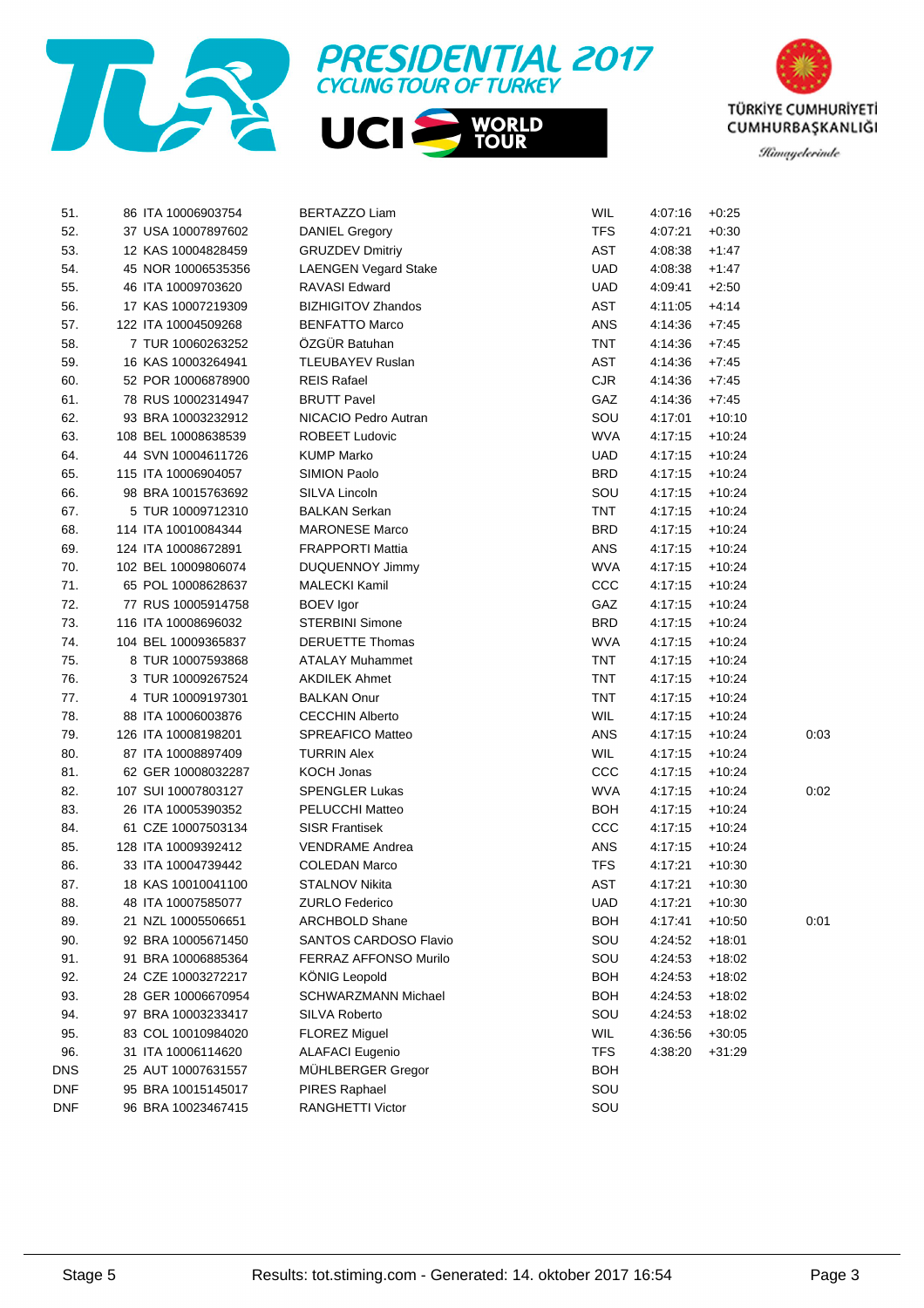



| 51.        | 86 ITA 10006903754  | BERTAZZO Liam                | <b>WIL</b> | 4:07:16 | $+0.25$  |      |
|------------|---------------------|------------------------------|------------|---------|----------|------|
| 52.        | 37 USA 10007897602  | <b>DANIEL Gregory</b>        | <b>TFS</b> | 4:07:21 | $+0.30$  |      |
| 53.        | 12 KAS 10004828459  | <b>GRUZDEV Dmitriy</b>       | AST        | 4:08:38 | $+1:47$  |      |
| 54.        | 45 NOR 10006535356  | <b>LAENGEN Vegard Stake</b>  | <b>UAD</b> | 4:08:38 | $+1:47$  |      |
| 55.        | 46 ITA 10009703620  | <b>RAVASI Edward</b>         | <b>UAD</b> | 4:09:41 | $+2:50$  |      |
| 56.        | 17 KAS 10007219309  | <b>BIZHIGITOV Zhandos</b>    | AST        | 4:11:05 | $+4:14$  |      |
| 57.        | 122 ITA 10004509268 | <b>BENFATTO Marco</b>        | ANS        | 4:14:36 | $+7.45$  |      |
| 58.        | 7 TUR 10060263252   | ÖZGÜR Batuhan                | <b>TNT</b> | 4:14:36 | $+7.45$  |      |
| 59.        | 16 KAS 10003264941  | <b>TLEUBAYEV Ruslan</b>      | <b>AST</b> | 4:14:36 | $+7:45$  |      |
| 60.        | 52 POR 10006878900  | <b>REIS Rafael</b>           | <b>CJR</b> | 4:14:36 | $+7:45$  |      |
| 61.        | 78 RUS 10002314947  | <b>BRUTT Pavel</b>           | GAZ        | 4:14:36 | $+7:45$  |      |
| 62.        | 93 BRA 10003232912  | NICACIO Pedro Autran         | SOU        | 4:17:01 | $+10:10$ |      |
| 63.        | 108 BEL 10008638539 | <b>ROBEET Ludovic</b>        | <b>WVA</b> | 4:17:15 | $+10.24$ |      |
| 64.        | 44 SVN 10004611726  | <b>KUMP Marko</b>            | UAD.       | 4:17:15 | $+10.24$ |      |
| 65.        | 115 ITA 10006904057 | <b>SIMION Paolo</b>          | <b>BRD</b> | 4:17:15 | $+10.24$ |      |
| 66.        | 98 BRA 10015763692  | SILVA Lincoln                | SOU        | 4:17:15 | $+10.24$ |      |
| 67.        | 5 TUR 10009712310   | <b>BALKAN Serkan</b>         | TNT        | 4:17:15 | $+10.24$ |      |
| 68.        | 114 ITA 10010084344 | <b>MARONESE Marco</b>        | <b>BRD</b> | 4:17:15 | $+10.24$ |      |
| 69.        | 124 ITA 10008672891 | <b>FRAPPORTI Mattia</b>      | ANS        | 4:17:15 | $+10.24$ |      |
| 70.        | 102 BEL 10009806074 | <b>DUQUENNOY Jimmy</b>       | <b>WVA</b> | 4:17:15 | $+10.24$ |      |
| 71.        | 65 POL 10008628637  | <b>MALECKI Kamil</b>         | CCC        | 4:17:15 | $+10.24$ |      |
| 72.        | 77 RUS 10005914758  | <b>BOEV</b> Igor             | GAZ        | 4:17:15 | $+10.24$ |      |
| 73.        | 116 ITA 10008696032 | <b>STERBINI Simone</b>       | <b>BRD</b> | 4:17:15 | $+10.24$ |      |
| 74.        | 104 BEL 10009365837 | <b>DERUETTE Thomas</b>       | <b>WVA</b> | 4:17:15 | $+10.24$ |      |
| 75.        | 8 TUR 10007593868   | <b>ATALAY Muhammet</b>       | TNT        | 4:17:15 | $+10.24$ |      |
| 76.        | 3 TUR 10009267524   | <b>AKDILEK Ahmet</b>         | TNT        | 4:17:15 | $+10.24$ |      |
| 77.        | 4 TUR 10009197301   | <b>BALKAN Onur</b>           | <b>TNT</b> | 4:17:15 | $+10.24$ |      |
| 78.        | 88 ITA 10006003876  | <b>CECCHIN Alberto</b>       | <b>WIL</b> | 4:17:15 | $+10.24$ |      |
| 79.        | 126 ITA 10008198201 | SPREAFICO Matteo             | ANS        | 4:17:15 | $+10.24$ | 0:03 |
| 80.        | 87 ITA 10008897409  | <b>TURRIN Alex</b>           | <b>WIL</b> | 4:17:15 | $+10.24$ |      |
| 81.        | 62 GER 10008032287  | <b>KOCH Jonas</b>            | CCC        | 4:17:15 | $+10.24$ |      |
| 82.        | 107 SUI 10007803127 | <b>SPENGLER Lukas</b>        | <b>WVA</b> | 4:17:15 | $+10.24$ | 0:02 |
| 83.        | 26 ITA 10005390352  | PELUCCHI Matteo              | BOH        | 4:17:15 | $+10.24$ |      |
| 84.        | 61 CZE 10007503134  | <b>SISR Frantisek</b>        | CCC        | 4:17:15 | $+10.24$ |      |
| 85.        | 128 ITA 10009392412 | <b>VENDRAME Andrea</b>       | ANS        | 4:17:15 | $+10.24$ |      |
| 86.        | 33 ITA 10004739442  | <b>COLEDAN Marco</b>         | TFS        | 4:17:21 | $+10:30$ |      |
| 87.        | 18 KAS 10010041100  | <b>STALNOV Nikita</b>        | <b>AST</b> | 4:17:21 | $+10:30$ |      |
| 88.        | 48 ITA 10007585077  | <b>ZURLO Federico</b>        | <b>UAD</b> | 4:17:21 | $+10:30$ |      |
| 89.        | 21 NZL 10005506651  | <b>ARCHBOLD Shane</b>        | <b>BOH</b> | 4:17:41 | $+10:50$ | 0:01 |
| 90.        | 92 BRA 10005671450  | SANTOS CARDOSO Flavio        | SOU        | 4:24:52 | $+18:01$ |      |
| 91.        | 91 BRA 10006885364  | <b>FERRAZ AFFONSO Murilo</b> | SOU        | 4:24:53 | $+18:02$ |      |
| 92.        | 24 CZE 10003272217  | <b>KÖNIG Leopold</b>         | BOH        | 4:24:53 | $+18:02$ |      |
| 93.        | 28 GER 10006670954  | SCHWARZMANN Michael          | BOH        | 4:24:53 | $+18:02$ |      |
| 94.        | 97 BRA 10003233417  | <b>SILVA Roberto</b>         | SOU        | 4:24:53 | $+18:02$ |      |
| 95.        | 83 COL 10010984020  | <b>FLOREZ Miguel</b>         | <b>WIL</b> | 4:36:56 | $+30:05$ |      |
| 96.        | 31 ITA 10006114620  | <b>ALAFACI Eugenio</b>       | <b>TFS</b> | 4:38:20 | $+31:29$ |      |
| DNS        | 25 AUT 10007631557  | MÜHLBERGER Gregor            | BOH        |         |          |      |
| DNF        | 95 BRA 10015145017  | PIRES Raphael                | SOU        |         |          |      |
| <b>DNF</b> | 96 BRA 10023467415  | RANGHETTI Victor             | SOU        |         |          |      |

**WORLD<br>TOUR**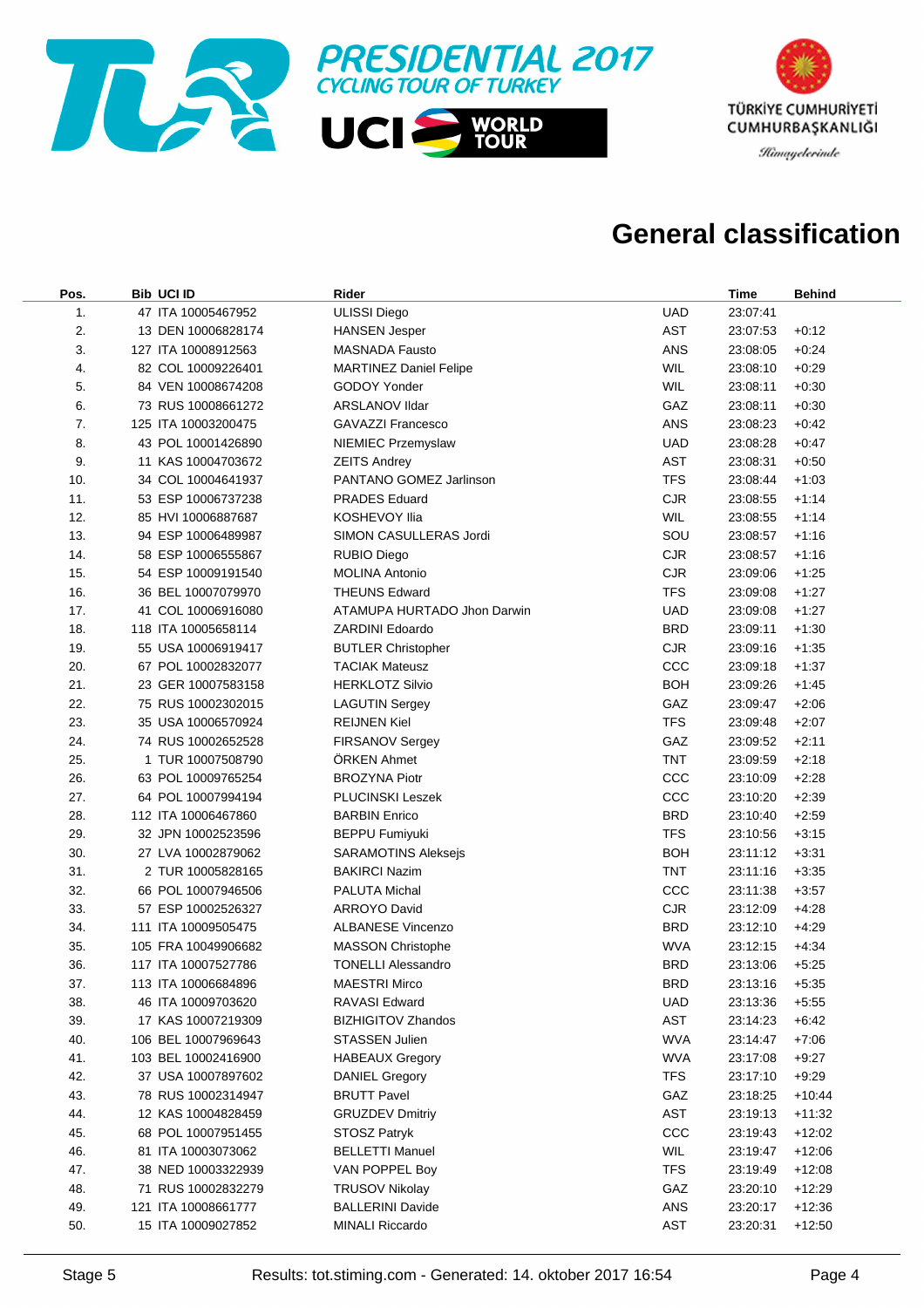



### **General classification**

| Pos. | <b>Bib UCI ID</b>   | Rider                         |            | Time     | <b>Behind</b> |
|------|---------------------|-------------------------------|------------|----------|---------------|
| 1.   | 47 ITA 10005467952  | <b>ULISSI Diego</b>           | <b>UAD</b> | 23:07:41 |               |
| 2.   | 13 DEN 10006828174  | <b>HANSEN Jesper</b>          | <b>AST</b> | 23:07:53 | $+0:12$       |
| 3.   | 127 ITA 10008912563 | <b>MASNADA Fausto</b>         | <b>ANS</b> | 23:08:05 | $+0.24$       |
| 4.   | 82 COL 10009226401  | <b>MARTINEZ Daniel Felipe</b> | <b>WIL</b> | 23:08:10 | $+0.29$       |
| 5.   | 84 VEN 10008674208  | GODOY Yonder                  | <b>WIL</b> | 23:08:11 | $+0:30$       |
| 6.   | 73 RUS 10008661272  | ARSLANOV Ildar                | GAZ        | 23:08:11 | $+0:30$       |
| 7.   | 125 ITA 10003200475 | <b>GAVAZZI Francesco</b>      | ANS        | 23:08:23 | $+0.42$       |
| 8.   | 43 POL 10001426890  | NIEMIEC Przemyslaw            | <b>UAD</b> | 23:08:28 | $+0.47$       |
| 9.   | 11 KAS 10004703672  | <b>ZEITS Andrey</b>           | AST        | 23:08:31 | $+0.50$       |
| 10.  | 34 COL 10004641937  | PANTANO GOMEZ Jarlinson       | <b>TFS</b> | 23:08:44 | $+1:03$       |
| 11.  | 53 ESP 10006737238  | <b>PRADES Eduard</b>          | <b>CJR</b> | 23:08:55 | $+1:14$       |
| 12.  | 85 HVI 10006887687  | <b>KOSHEVOY Ilia</b>          | <b>WIL</b> | 23:08:55 | $+1:14$       |
| 13.  | 94 ESP 10006489987  | SIMON CASULLERAS Jordi        | SOU        | 23:08:57 | $+1:16$       |
| 14.  | 58 ESP 10006555867  | <b>RUBIO Diego</b>            | <b>CJR</b> | 23:08:57 | $+1:16$       |
| 15.  | 54 ESP 10009191540  | <b>MOLINA Antonio</b>         | <b>CJR</b> | 23:09:06 | $+1:25$       |
| 16.  | 36 BEL 10007079970  | <b>THEUNS Edward</b>          | <b>TFS</b> | 23:09:08 | $+1:27$       |
| 17.  | 41 COL 10006916080  | ATAMUPA HURTADO Jhon Darwin   | <b>UAD</b> | 23:09:08 | $+1:27$       |
| 18.  | 118 ITA 10005658114 | <b>ZARDINI Edoardo</b>        | <b>BRD</b> | 23:09:11 | $+1:30$       |
| 19.  | 55 USA 10006919417  | <b>BUTLER Christopher</b>     | <b>CJR</b> | 23:09:16 | $+1:35$       |
| 20.  | 67 POL 10002832077  | <b>TACIAK Mateusz</b>         | CCC        | 23:09:18 | $+1:37$       |
| 21.  | 23 GER 10007583158  | <b>HERKLOTZ Silvio</b>        | <b>BOH</b> | 23:09:26 | $+1:45$       |
| 22.  | 75 RUS 10002302015  | <b>LAGUTIN Sergey</b>         | GAZ        | 23:09:47 | $+2:06$       |
| 23.  | 35 USA 10006570924  | <b>REIJNEN Kiel</b>           | <b>TFS</b> | 23:09:48 | $+2:07$       |
| 24.  | 74 RUS 10002652528  | FIRSANOV Sergey               | GAZ        | 23:09:52 | $+2:11$       |
| 25.  | 1 TUR 10007508790   | <b>ORKEN Ahmet</b>            | <b>TNT</b> | 23:09:59 | $+2:18$       |
| 26.  | 63 POL 10009765254  | <b>BROZYNA Piotr</b>          | CCC        | 23:10:09 | $+2:28$       |
| 27.  | 64 POL 10007994194  | <b>PLUCINSKI Leszek</b>       | CCC        | 23:10:20 | $+2:39$       |
| 28.  | 112 ITA 10006467860 | <b>BARBIN Enrico</b>          | <b>BRD</b> | 23:10:40 | $+2:59$       |
| 29.  | 32 JPN 10002523596  | <b>BEPPU Fumiyuki</b>         | <b>TFS</b> | 23:10:56 | $+3:15$       |
| 30.  | 27 LVA 10002879062  | <b>SARAMOTINS Aleksejs</b>    | <b>BOH</b> | 23:11:12 | $+3.31$       |
| 31.  | 2 TUR 10005828165   | <b>BAKIRCI Nazim</b>          | <b>TNT</b> | 23:11:16 | $+3:35$       |
| 32.  | 66 POL 10007946506  | <b>PALUTA Michal</b>          | CCC        | 23:11:38 | $+3.57$       |
| 33.  | 57 ESP 10002526327  | <b>ARROYO David</b>           | <b>CJR</b> | 23:12:09 | $+4.28$       |
| 34.  | 111 ITA 10009505475 | <b>ALBANESE Vincenzo</b>      | <b>BRD</b> | 23:12:10 | $+4.29$       |
| 35.  | 105 FRA 10049906682 | <b>MASSON Christophe</b>      | <b>WVA</b> | 23:12:15 | $+4:34$       |
| 36.  | 117 ITA 10007527786 | <b>TONELLI Alessandro</b>     | <b>BRD</b> | 23:13:06 | $+5:25$       |
| 37.  | 113 ITA 10006684896 | <b>MAESTRI Mirco</b>          | <b>BRD</b> | 23:13:16 | $+5:35$       |
| 38.  | 46 ITA 10009703620  | RAVASI Edward                 | <b>UAD</b> | 23:13:36 | $+5:55$       |
| 39.  | 17 KAS 10007219309  | <b>BIZHIGITOV Zhandos</b>     | AST        | 23:14:23 | $+6:42$       |
| 40.  | 106 BEL 10007969643 | <b>STASSEN Julien</b>         | <b>WVA</b> | 23:14:47 | $+7:06$       |
| 41.  | 103 BEL 10002416900 | <b>HABEAUX Gregory</b>        | <b>WVA</b> | 23:17:08 | $+9:27$       |
| 42.  | 37 USA 10007897602  | <b>DANIEL Gregory</b>         | TFS        | 23:17:10 | $+9:29$       |
| 43.  | 78 RUS 10002314947  | <b>BRUTT Pavel</b>            | GAZ        | 23:18:25 | $+10:44$      |
| 44.  | 12 KAS 10004828459  | <b>GRUZDEV Dmitriy</b>        | AST        | 23:19:13 | $+11:32$      |
| 45.  | 68 POL 10007951455  | STOSZ Patryk                  | CCC        | 23:19:43 | $+12:02$      |
| 46.  | 81 ITA 10003073062  | <b>BELLETTI Manuel</b>        | WIL        | 23:19:47 | $+12:06$      |
| 47.  | 38 NED 10003322939  | VAN POPPEL Boy                | <b>TFS</b> | 23:19:49 | $+12:08$      |
| 48.  | 71 RUS 10002832279  | <b>TRUSOV Nikolay</b>         | GAZ        | 23:20:10 | $+12:29$      |
| 49.  | 121 ITA 10008661777 | <b>BALLERINI Davide</b>       | ANS        | 23:20:17 | $+12:36$      |
| 50.  | 15 ITA 10009027852  | <b>MINALI Riccardo</b>        | AST        | 23:20:31 | $+12:50$      |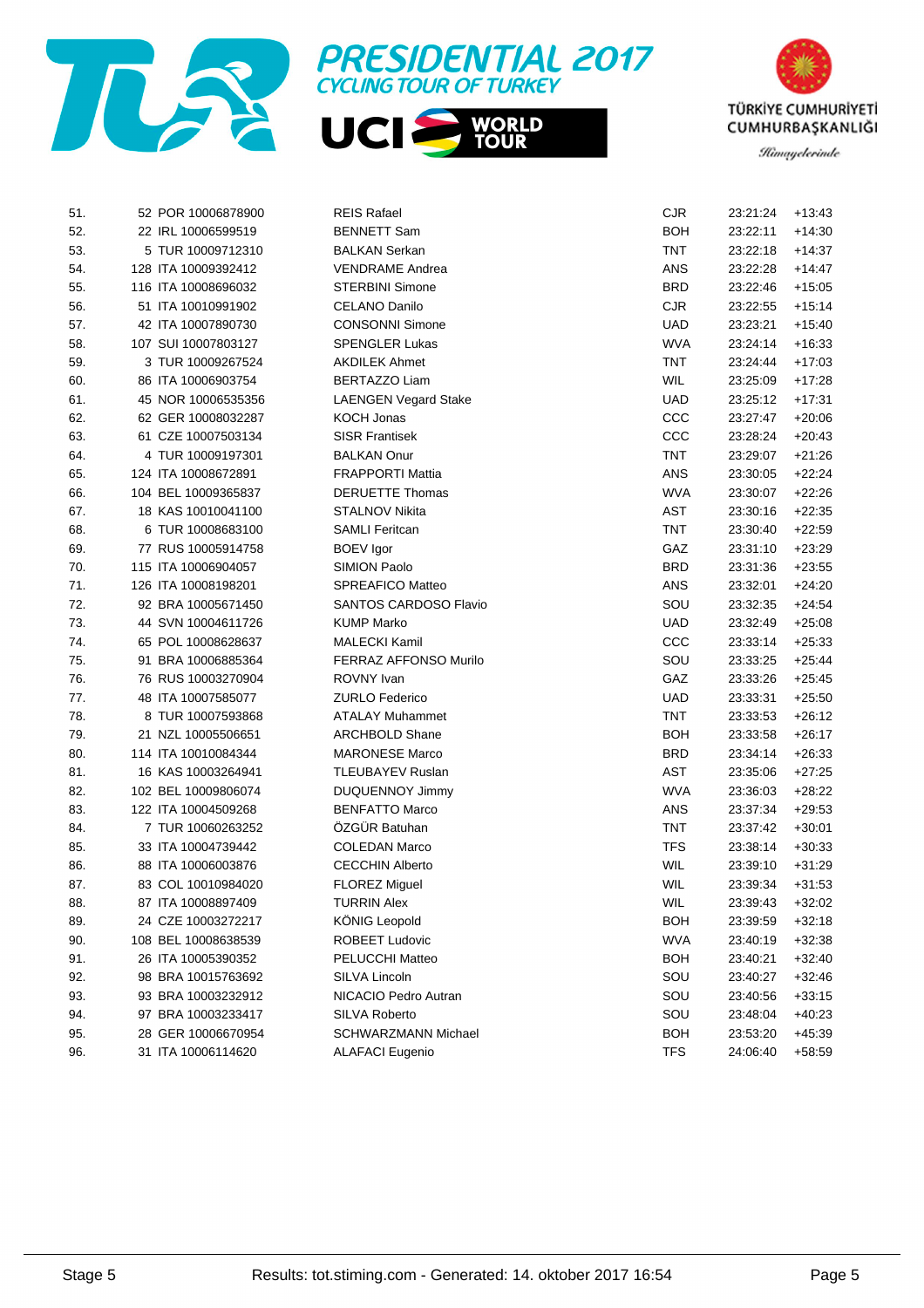





| 51. | 52 POR 10006878900  | <b>REIS Rafael</b>          | <b>CJR</b> | 23:21:24 | $+13:43$ |
|-----|---------------------|-----------------------------|------------|----------|----------|
| 52. | 22 IRL 10006599519  | <b>BENNETT Sam</b>          | <b>BOH</b> | 23:22:11 | $+14:30$ |
| 53. | 5 TUR 10009712310   | <b>BALKAN Serkan</b>        | TNT        | 23:22:18 | +14:37   |
| 54. | 128 ITA 10009392412 | <b>VENDRAME Andrea</b>      | ANS        | 23:22:28 | $+14:47$ |
| 55. | 116 ITA 10008696032 | <b>STERBINI Simone</b>      | <b>BRD</b> | 23:22:46 | $+15:05$ |
| 56. | 51 ITA 10010991902  | CELANO Danilo               | <b>CJR</b> | 23:22:55 | $+15:14$ |
| 57. | 42 ITA 10007890730  | <b>CONSONNI Simone</b>      | <b>UAD</b> | 23:23:21 | $+15:40$ |
| 58. | 107 SUI 10007803127 | <b>SPENGLER Lukas</b>       | <b>WVA</b> | 23:24:14 | $+16:33$ |
| 59. | 3 TUR 10009267524   | <b>AKDILEK Ahmet</b>        | TNT        | 23:24:44 | $+17:03$ |
| 60. | 86 ITA 10006903754  | <b>BERTAZZO Liam</b>        | <b>WIL</b> | 23:25:09 | $+17.28$ |
| 61. | 45 NOR 10006535356  | <b>LAENGEN Vegard Stake</b> | <b>UAD</b> | 23:25:12 | $+17:31$ |
| 62. | 62 GER 10008032287  | KOCH Jonas                  | CCC        | 23:27:47 | $+20:06$ |
| 63. | 61 CZE 10007503134  | <b>SISR Frantisek</b>       | CCC        | 23:28:24 | $+20:43$ |
| 64. | 4 TUR 10009197301   | <b>BALKAN Onur</b>          | TNT        | 23:29:07 | $+21:26$ |
| 65. | 124 ITA 10008672891 | <b>FRAPPORTI Mattia</b>     | ANS        | 23:30:05 | $+22:24$ |
| 66. | 104 BEL 10009365837 | <b>DERUETTE Thomas</b>      | <b>WVA</b> | 23:30:07 | $+22:26$ |
| 67. | 18 KAS 10010041100  | <b>STALNOV Nikita</b>       | AST        | 23:30:16 | $+22:35$ |
| 68. | 6 TUR 10008683100   | <b>SAMLI Feritcan</b>       | TNT        | 23:30:40 | $+22:59$ |
| 69. | 77 RUS 10005914758  | <b>BOEV</b> Igor            | GAZ        | 23:31:10 | $+23.29$ |
| 70. | 115 ITA 10006904057 | SIMION Paolo                | <b>BRD</b> | 23:31:36 | $+23:55$ |
| 71. | 126 ITA 10008198201 | SPREAFICO Matteo            | ANS        | 23:32:01 | $+24.20$ |
| 72. | 92 BRA 10005671450  | SANTOS CARDOSO Flavio       | SOU        | 23:32:35 | $+24:54$ |
| 73. | 44 SVN 10004611726  | <b>KUMP Marko</b>           | <b>UAD</b> | 23:32:49 | $+25:08$ |
| 74. | 65 POL 10008628637  | <b>MALECKI Kamil</b>        | CCC        | 23:33:14 | $+25:33$ |
| 75. | 91 BRA 10006885364  | FERRAZ AFFONSO Murilo       | SOU        | 23:33:25 | $+25:44$ |
| 76. | 76 RUS 10003270904  | ROVNY Ivan                  | GAZ        | 23:33:26 | $+25:45$ |
| 77. | 48 ITA 10007585077  | <b>ZURLO Federico</b>       | <b>UAD</b> | 23:33:31 | $+25:50$ |
| 78. | 8 TUR 10007593868   | <b>ATALAY Muhammet</b>      | <b>TNT</b> | 23:33:53 | $+26:12$ |
| 79. | 21 NZL 10005506651  | <b>ARCHBOLD Shane</b>       | <b>BOH</b> | 23:33:58 | $+26:17$ |
| 80. | 114 ITA 10010084344 | <b>MARONESE Marco</b>       | <b>BRD</b> | 23:34:14 | $+26:33$ |
| 81. | 16 KAS 10003264941  | TLEUBAYEV Ruslan            | <b>AST</b> | 23:35:06 | $+27:25$ |
| 82. | 102 BEL 10009806074 | DUQUENNOY Jimmy             | <b>WVA</b> | 23:36:03 | $+28:22$ |
| 83. | 122 ITA 10004509268 | <b>BENFATTO Marco</b>       | ANS        | 23:37:34 | $+29:53$ |
| 84. | 7 TUR 10060263252   | ÖZGÜR Batuhan               | <b>TNT</b> | 23:37:42 | $+30:01$ |
| 85. | 33 ITA 10004739442  | <b>COLEDAN Marco</b>        | <b>TFS</b> | 23:38:14 | $+30.33$ |
| 86. | 88 ITA 10006003876  | <b>CECCHIN Alberto</b>      | <b>WIL</b> | 23:39:10 | $+31:29$ |
| 87. | 83 COL 10010984020  | <b>FLOREZ Miguel</b>        | <b>WIL</b> | 23:39:34 | $+31:53$ |
| 88. | 87 ITA 10008897409  | <b>TURRIN Alex</b>          | WIL        | 23:39:43 | $+32:02$ |
| 89. | 24 CZE 10003272217  | <b>KÖNIG Leopold</b>        | <b>BOH</b> | 23:39:59 | $+32:18$ |
| 90. | 108 BEL 10008638539 | <b>ROBEET Ludovic</b>       | <b>WVA</b> | 23:40:19 | $+32:38$ |
| 91. | 26 ITA 10005390352  | PELUCCHI Matteo             | <b>BOH</b> | 23:40:21 | $+32:40$ |
| 92. | 98 BRA 10015763692  | SILVA Lincoln               | SOU        | 23:40:27 | $+32:46$ |
| 93. | 93 BRA 10003232912  | NICACIO Pedro Autran        | SOU        | 23:40:56 | $+33:15$ |
| 94. | 97 BRA 10003233417  | <b>SILVA Roberto</b>        | SOU        | 23:48:04 | $+40:23$ |
| 95. | 28 GER 10006670954  | SCHWARZMANN Michael         | <b>BOH</b> | 23:53:20 | $+45:39$ |
| 96. | 31 ITA 10006114620  | <b>ALAFACI Eugenio</b>      | <b>TFS</b> | 24:06:40 | $+58:59$ |
|     |                     |                             |            |          |          |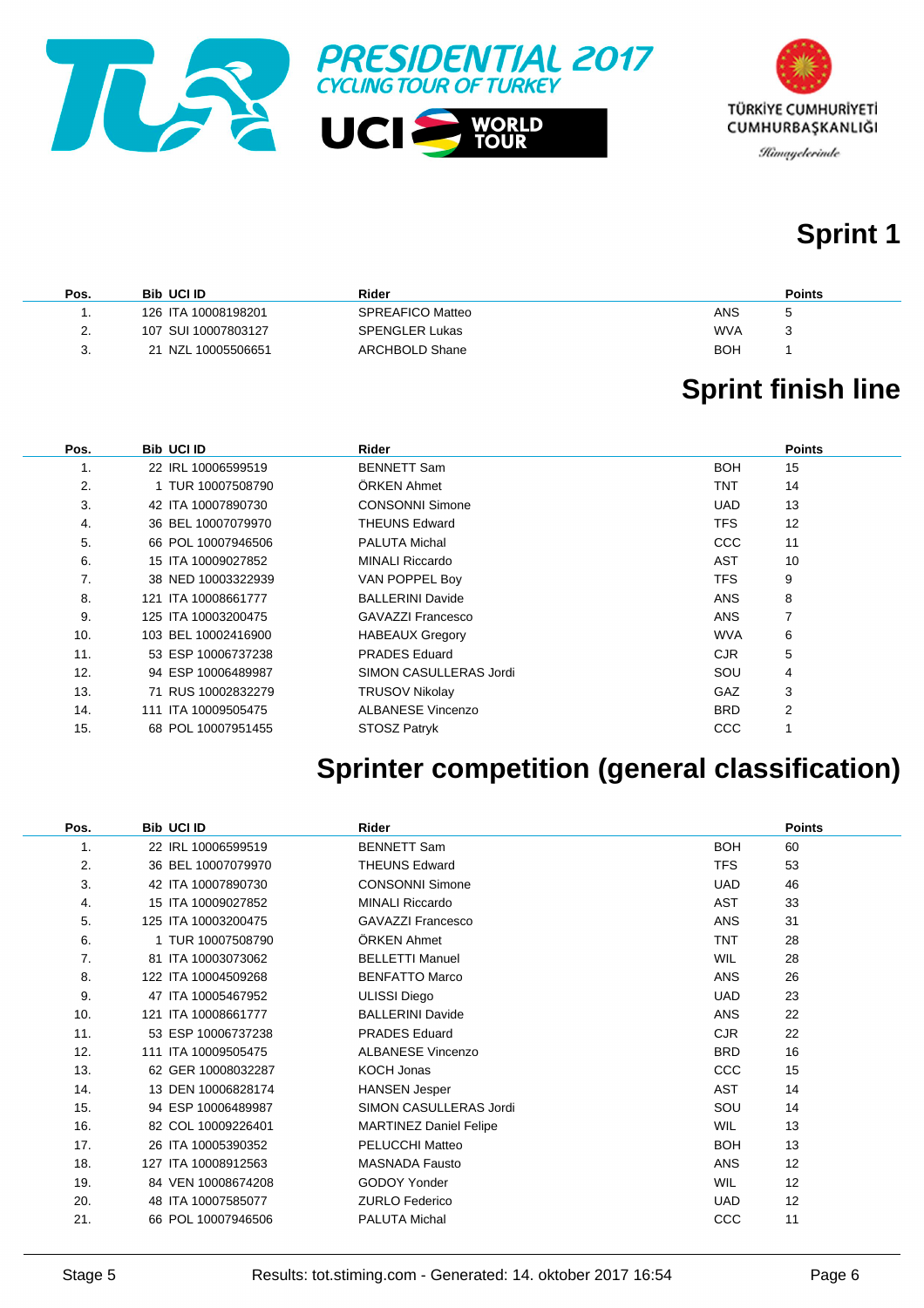



# **Sprint 1**

| Pos.                      | <b>Bib UCI ID</b>   | Rider                 | <b>Points</b> |
|---------------------------|---------------------|-----------------------|---------------|
|                           | 126 ITA 10008198201 | SPREAFICO Matteo      | ANS           |
| $\mathcal{D}$<br><u>.</u> | 107 SUI 10007803127 | <b>SPENGLER Lukas</b> | <b>WVA</b>    |
| 3.                        | 21 NZL 10005506651  | ARCHBOLD Shane        | <b>BOH</b>    |

# **Sprint finish line**

| Pos. | <b>Bib UCI ID</b>   | Rider                    |            | <b>Points</b> |
|------|---------------------|--------------------------|------------|---------------|
| 1.   | 22 IRL 10006599519  | <b>BENNETT Sam</b>       | <b>BOH</b> | 15            |
| 2.   | 1 TUR 10007508790   | ÖRKEN Ahmet              | TNT        | 14            |
| 3.   | 42 ITA 10007890730  | <b>CONSONNI Simone</b>   | <b>UAD</b> | 13            |
| 4.   | 36 BEL 10007079970  | <b>THEUNS Edward</b>     | <b>TFS</b> | 12            |
| 5.   | 66 POL 10007946506  | <b>PALUTA Michal</b>     | CCC        | 11            |
| 6.   | 15 ITA 10009027852  | <b>MINALI Riccardo</b>   | <b>AST</b> | 10            |
| 7.   | 38 NED 10003322939  | VAN POPPEL Boy           | <b>TFS</b> | 9             |
| 8.   | 121 ITA 10008661777 | <b>BALLERINI Davide</b>  | <b>ANS</b> | 8             |
| 9.   | 125 ITA 10003200475 | <b>GAVAZZI Francesco</b> | <b>ANS</b> |               |
| 10.  | 103 BEL 10002416900 | <b>HABEAUX Gregory</b>   | <b>WVA</b> | 6             |
| 11.  | 53 ESP 10006737238  | <b>PRADES</b> Eduard     | CJR.       | 5             |
| 12.  | 94 ESP 10006489987  | SIMON CASULLERAS Jordi   | SOU        | 4             |
| 13.  | 71 RUS 10002832279  | <b>TRUSOV Nikolay</b>    | <b>GAZ</b> | 3             |
| 14.  | 111 ITA 10009505475 | <b>ALBANESE Vincenzo</b> | <b>BRD</b> | 2             |
| 15.  | 68 POL 10007951455  | STOSZ Patryk             | CCC        |               |

# **Sprinter competition (general classification)**

| Pos. | <b>Bib UCI ID</b>   | Rider                         |            | <b>Points</b> |
|------|---------------------|-------------------------------|------------|---------------|
| 1.   | 22 IRL 10006599519  | <b>BENNETT Sam</b>            | <b>BOH</b> | 60            |
| 2.   | 36 BEL 10007079970  | <b>THEUNS Edward</b>          | <b>TFS</b> | 53            |
| 3.   | 42 ITA 10007890730  | <b>CONSONNI Simone</b>        | <b>UAD</b> | 46            |
| 4.   | 15 ITA 10009027852  | <b>MINALI Riccardo</b>        | <b>AST</b> | 33            |
| 5.   | 125 ITA 10003200475 | GAVAZZI Francesco             | <b>ANS</b> | 31            |
| 6.   | 1 TUR 10007508790   | ÖRKEN Ahmet                   | <b>TNT</b> | 28            |
| 7.   | 81 ITA 10003073062  | <b>BELLETTI Manuel</b>        | <b>WIL</b> | 28            |
| 8.   | 122 ITA 10004509268 | <b>BENFATTO Marco</b>         | <b>ANS</b> | 26            |
| 9.   | 47 ITA 10005467952  | <b>ULISSI Diego</b>           | <b>UAD</b> | 23            |
| 10.  | 121 ITA 10008661777 | <b>BALLERINI Davide</b>       | <b>ANS</b> | 22            |
| 11.  | 53 ESP 10006737238  | <b>PRADES Eduard</b>          | CJR.       | 22            |
| 12.  | 111 ITA 10009505475 | <b>ALBANESE Vincenzo</b>      | <b>BRD</b> | 16            |
| 13.  | 62 GER 10008032287  | <b>KOCH Jonas</b>             | <b>CCC</b> | 15            |
| 14.  | 13 DEN 10006828174  | <b>HANSEN Jesper</b>          | AST        | 14            |
| 15.  | 94 ESP 10006489987  | SIMON CASULLERAS Jordi        | SOU        | 14            |
| 16.  | 82 COL 10009226401  | <b>MARTINEZ Daniel Felipe</b> | <b>WIL</b> | 13            |
| 17.  | 26 ITA 10005390352  | <b>PELUCCHI Matteo</b>        | <b>BOH</b> | 13            |
| 18.  | 127 ITA 10008912563 | <b>MASNADA Fausto</b>         | <b>ANS</b> | 12            |
| 19.  | 84 VEN 10008674208  | GODOY Yonder                  | <b>WIL</b> | 12            |
| 20.  | 48 ITA 10007585077  | <b>ZURLO Federico</b>         | <b>UAD</b> | 12            |
| 21.  | 66 POL 10007946506  | PALUTA Michal                 | CCC        | 11            |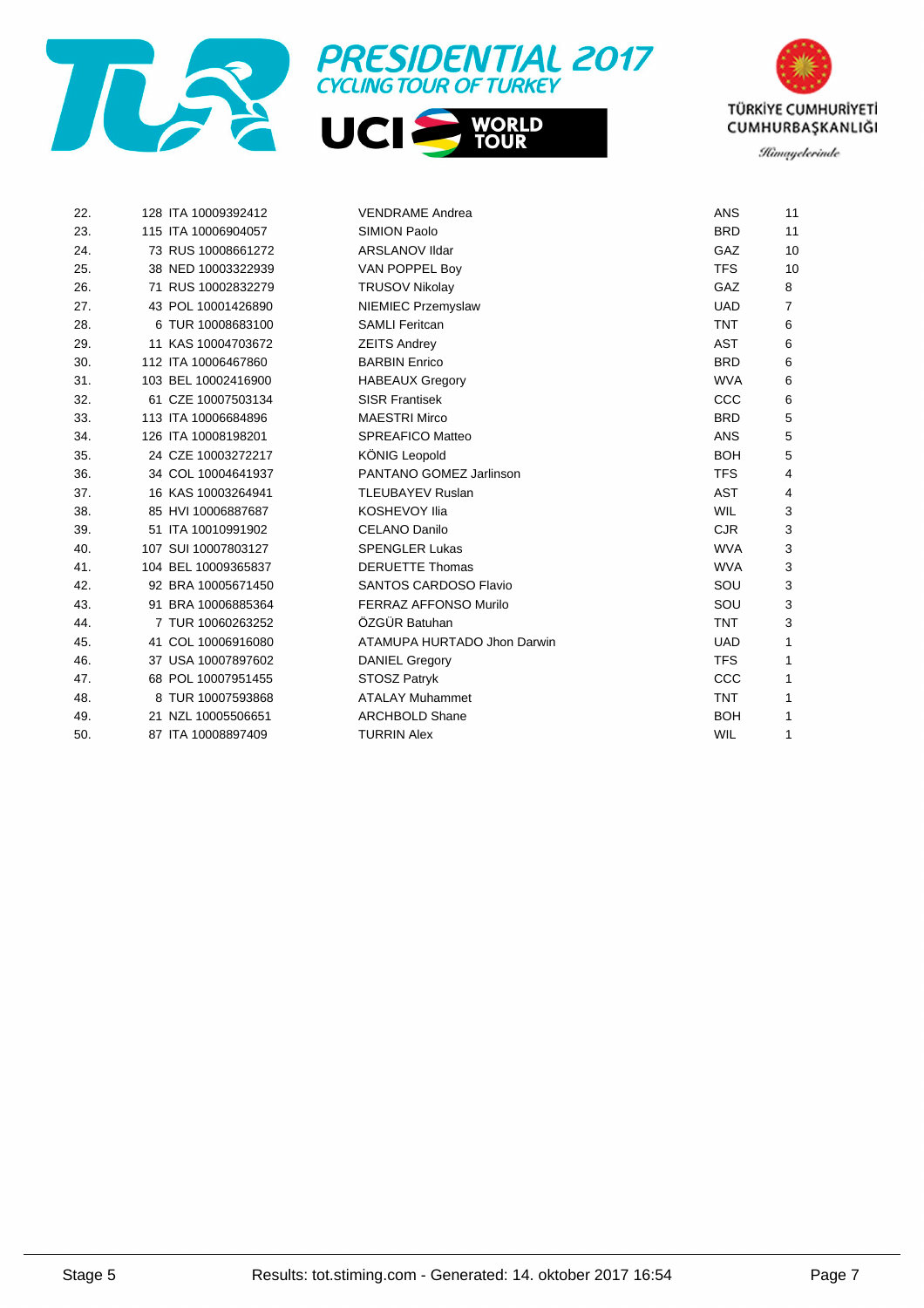





| 22. | 128 ITA 10009392412 | <b>VENDRAME Andrea</b>       | <b>ANS</b> | 11 |
|-----|---------------------|------------------------------|------------|----|
| 23. | 115 ITA 10006904057 | <b>SIMION Paolo</b>          | <b>BRD</b> | 11 |
| 24. | 73 RUS 10008661272  | <b>ARSLANOV IIdar</b>        | GAZ        | 10 |
| 25. | 38 NED 10003322939  | VAN POPPEL Boy               | <b>TFS</b> | 10 |
| 26. | 71 RUS 10002832279  | <b>TRUSOV Nikolay</b>        | GAZ        | 8  |
| 27. | 43 POL 10001426890  | NIEMIEC Przemyslaw           | <b>UAD</b> | 7  |
| 28. | 6 TUR 10008683100   | <b>SAMLI Feritcan</b>        | <b>TNT</b> | 6  |
| 29. | 11 KAS 10004703672  | <b>ZEITS Andrey</b>          | <b>AST</b> | 6  |
| 30. | 112 ITA 10006467860 | <b>BARBIN Enrico</b>         | <b>BRD</b> | 6  |
| 31. | 103 BEL 10002416900 | <b>HABEAUX Gregory</b>       | <b>WVA</b> | 6  |
| 32. | 61 CZE 10007503134  | <b>SISR Frantisek</b>        | CCC        | 6  |
| 33. | 113 ITA 10006684896 | <b>MAESTRI Mirco</b>         | <b>BRD</b> | 5  |
| 34. | 126 ITA 10008198201 | <b>SPREAFICO Matteo</b>      | <b>ANS</b> | 5  |
| 35. | 24 CZE 10003272217  | <b>KÖNIG Leopold</b>         | <b>BOH</b> | 5  |
| 36. | 34 COL 10004641937  | PANTANO GOMEZ Jarlinson      | <b>TFS</b> | 4  |
| 37. | 16 KAS 10003264941  | <b>TLEUBAYEV Ruslan</b>      | <b>AST</b> | 4  |
| 38. | 85 HVI 10006887687  | <b>KOSHEVOY Ilia</b>         | <b>WIL</b> | 3  |
| 39. | 51 ITA 10010991902  | <b>CELANO Danilo</b>         | <b>CJR</b> | 3  |
| 40. | 107 SUI 10007803127 | <b>SPENGLER Lukas</b>        | <b>WVA</b> | 3  |
| 41. | 104 BEL 10009365837 | <b>DERUETTE Thomas</b>       | <b>WVA</b> | 3  |
| 42. | 92 BRA 10005671450  | <b>SANTOS CARDOSO Flavio</b> | SOU        | 3  |
| 43. | 91 BRA 10006885364  | <b>FERRAZ AFFONSO Murilo</b> | SOU        | 3  |
| 44. | 7 TUR 10060263252   | ÖZGÜR Batuhan                | <b>TNT</b> | 3  |
| 45. | 41 COL 10006916080  | ATAMUPA HURTADO Jhon Darwin  | <b>UAD</b> | 1  |
| 46. | 37 USA 10007897602  | <b>DANIEL Gregory</b>        | <b>TFS</b> | 1  |
| 47. | 68 POL 10007951455  | <b>STOSZ Patryk</b>          | CCC        | 1  |
| 48. | 8 TUR 10007593868   | <b>ATALAY Muhammet</b>       | <b>TNT</b> | 1  |
| 49. | 21 NZL 10005506651  | <b>ARCHBOLD Shane</b>        | <b>BOH</b> | 1  |
| 50. | 87 ITA 10008897409  | <b>TURRIN Alex</b>           | <b>WIL</b> | 1  |
|     |                     |                              |            |    |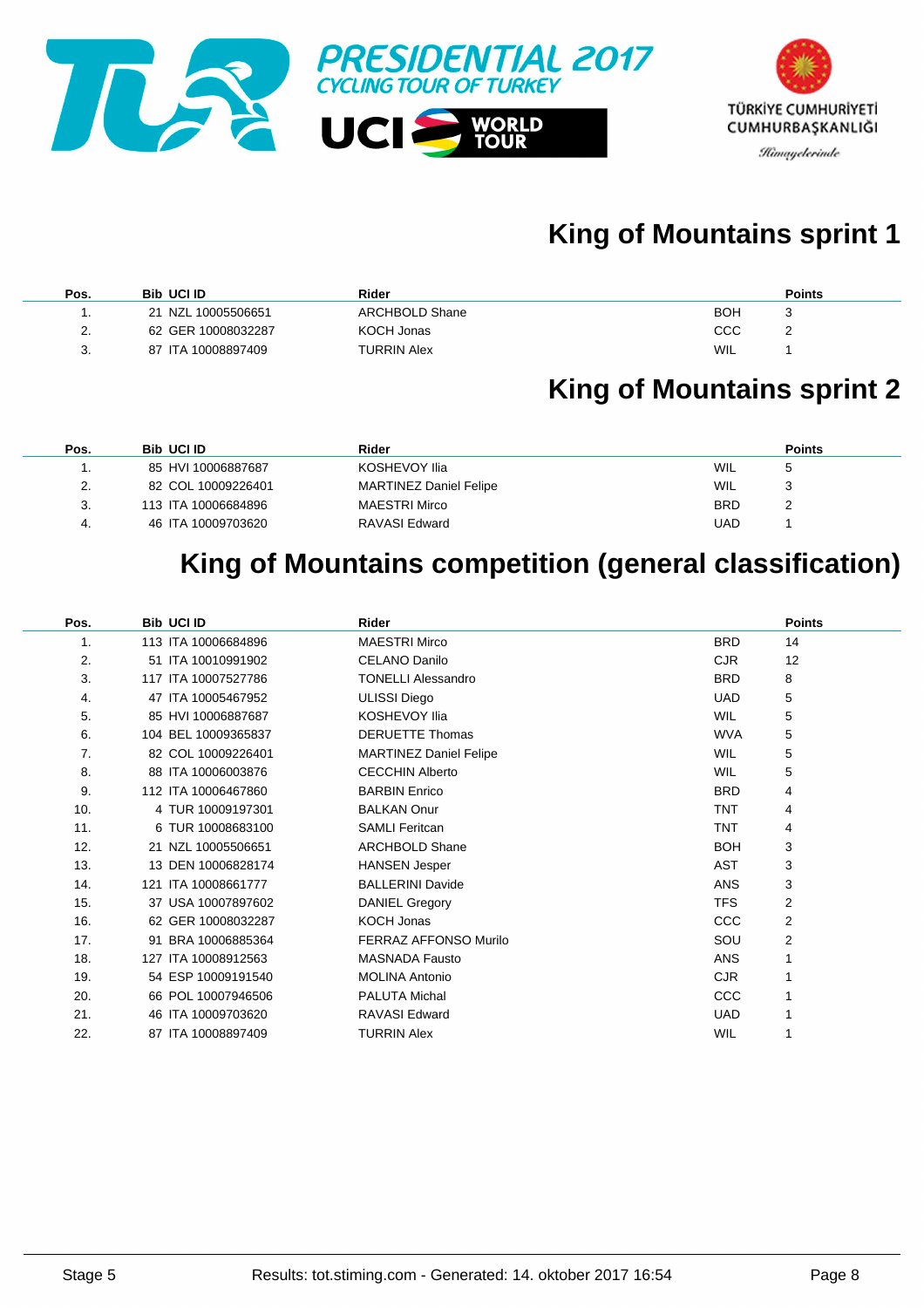

# **King of Mountains sprint 1**

| Pos.                      | <b>Bib UCI ID</b>  | Rider              | <b>Points</b> |
|---------------------------|--------------------|--------------------|---------------|
|                           | 21 NZL 10005506651 | ARCHBOLD Shane     | <b>BOH</b>    |
| $\mathcal{P}$<br><u>.</u> | 62 GER 10008032287 | KOCH Jonas         | ссс           |
| 3.                        | 87 ITA 10008897409 | <b>TURRIN Alex</b> | WIL           |

### **King of Mountains sprint 2**

| Pos. | <b>Bib UCI ID</b>   | Rider                  | <b>Points</b>              |
|------|---------------------|------------------------|----------------------------|
|      | 85 HVI 10006887687  | KOSHEVOY Ilia          | <b>WIL</b><br>$\mathbf{b}$ |
| 2.   | 82 COL 10009226401  | MARTINEZ Daniel Felipe | WIL                        |
| 3.   | 113 ITA 10006684896 | MAESTRI Mirco          | <b>BRD</b>                 |
| 4.   | 46 ITA 10009703620  | RAVASI Edward          | UAD                        |

### **King of Mountains competition (general classification)**

| Pos. | <b>Bib UCI ID</b>   | <b>Rider</b>                  | <b>Points</b>    |
|------|---------------------|-------------------------------|------------------|
| 1.   | 113 ITA 10006684896 | <b>MAESTRI Mirco</b>          | 14<br><b>BRD</b> |
| 2.   | 51 ITA 10010991902  | <b>CELANO Danilo</b>          | <b>CJR</b><br>12 |
| 3.   | 117 ITA 10007527786 | <b>TONELLI Alessandro</b>     | <b>BRD</b><br>8  |
| 4.   | 47 ITA 10005467952  | <b>ULISSI Diego</b>           | 5<br><b>UAD</b>  |
| 5.   | 85 HVI 10006887687  | <b>KOSHEVOY Ilia</b>          | <b>WIL</b><br>5  |
| 6.   | 104 BEL 10009365837 | <b>DERUETTE Thomas</b>        | 5<br><b>WVA</b>  |
| 7.   | 82 COL 10009226401  | <b>MARTINEZ Daniel Felipe</b> | <b>WIL</b><br>5  |
| 8.   | 88 ITA 10006003876  | <b>CECCHIN Alberto</b>        | <b>WIL</b><br>5  |
| 9.   | 112 ITA 10006467860 | <b>BARBIN Enrico</b>          | <b>BRD</b><br>4  |
| 10.  | 4 TUR 10009197301   | <b>BALKAN Onur</b>            | <b>TNT</b><br>4  |
| 11.  | 6 TUR 10008683100   | <b>SAMLI Feritcan</b>         | <b>TNT</b><br>4  |
| 12.  | 21 NZL 10005506651  | <b>ARCHBOLD Shane</b>         | <b>BOH</b><br>3  |
| 13.  | 13 DEN 10006828174  | <b>HANSEN Jesper</b>          | 3<br>AST         |
| 14.  | 121 ITA 10008661777 | <b>BALLERINI Davide</b>       | 3<br><b>ANS</b>  |
| 15.  | 37 USA 10007897602  | DANIEL Gregory                | <b>TFS</b><br>2  |
| 16.  | 62 GER 10008032287  | <b>KOCH Jonas</b>             | <b>CCC</b><br>2  |
| 17.  | 91 BRA 10006885364  | <b>FERRAZ AFFONSO Murilo</b>  | 2<br>SOU         |
| 18.  | 127 ITA 10008912563 | <b>MASNADA Fausto</b>         | <b>ANS</b>       |
| 19.  | 54 ESP 10009191540  | <b>MOLINA Antonio</b>         | <b>CJR</b><br>1  |
| 20.  | 66 POL 10007946506  | PALUTA Michal                 | CCC              |
| 21.  | 46 ITA 10009703620  | <b>RAVASI Edward</b>          | <b>UAD</b>       |
| 22.  | 87 ITA 10008897409  | <b>TURRIN Alex</b>            | WIL              |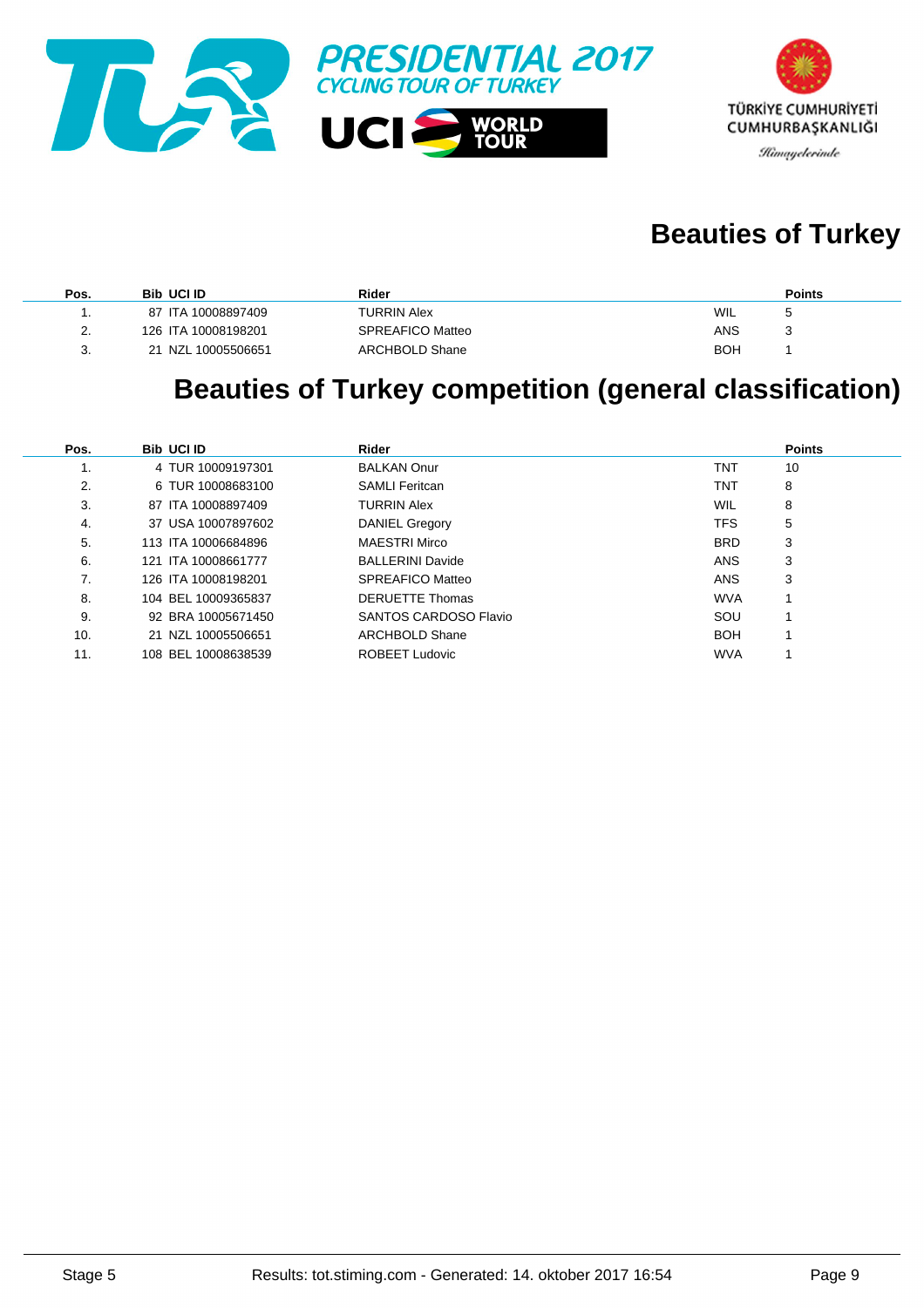



# **Beauties of Turkey**

| Pos.                      | <b>Bib UCI ID</b>     | Rider              |            | <b>Points</b> |
|---------------------------|-----------------------|--------------------|------------|---------------|
|                           | 87 ITA 10008897409    | <b>TURRIN Alex</b> | WIL        |               |
| $\mathcal{D}$<br><u>.</u> | 126 ITA 10008198201   | SPREAFICO Matteo   | ANS        |               |
| 3.                        | NZL 10005506651<br>21 | ARCHBOLD Shane     | <b>BOH</b> |               |

### **Beauties of Turkey competition (general classification)**

| Pos. | <b>Bib UCI ID</b>   | Rider                   |            | <b>Points</b> |
|------|---------------------|-------------------------|------------|---------------|
| ι.   | 4 TUR 10009197301   | <b>BALKAN Onur</b>      | <b>TNT</b> | 10            |
| 2.   | 6 TUR 10008683100   | <b>SAMLI Feritcan</b>   | <b>TNT</b> | 8             |
| 3.   | 87 ITA 10008897409  | <b>TURRIN Alex</b>      | <b>WIL</b> | 8             |
| 4.   | 37 USA 10007897602  | <b>DANIEL Gregory</b>   | <b>TFS</b> | 5             |
| 5.   | 113 ITA 10006684896 | MAESTRI Mirco           | <b>BRD</b> | 3             |
| 6.   | 121 ITA 10008661777 | <b>BALLERINI Davide</b> | <b>ANS</b> | 3             |
| 7.   | 126 ITA 10008198201 | SPREAFICO Matteo        | <b>ANS</b> | 3             |
| 8.   | 104 BEL 10009365837 | <b>DERUETTE Thomas</b>  | <b>WVA</b> |               |
| 9.   | 92 BRA 10005671450  | SANTOS CARDOSO Flavio   | SOU        |               |
| 10.  | 21 NZL 10005506651  | ARCHBOLD Shane          | <b>BOH</b> |               |
| 11.  | 108 BEL 10008638539 | <b>ROBEET Ludovic</b>   | <b>WVA</b> |               |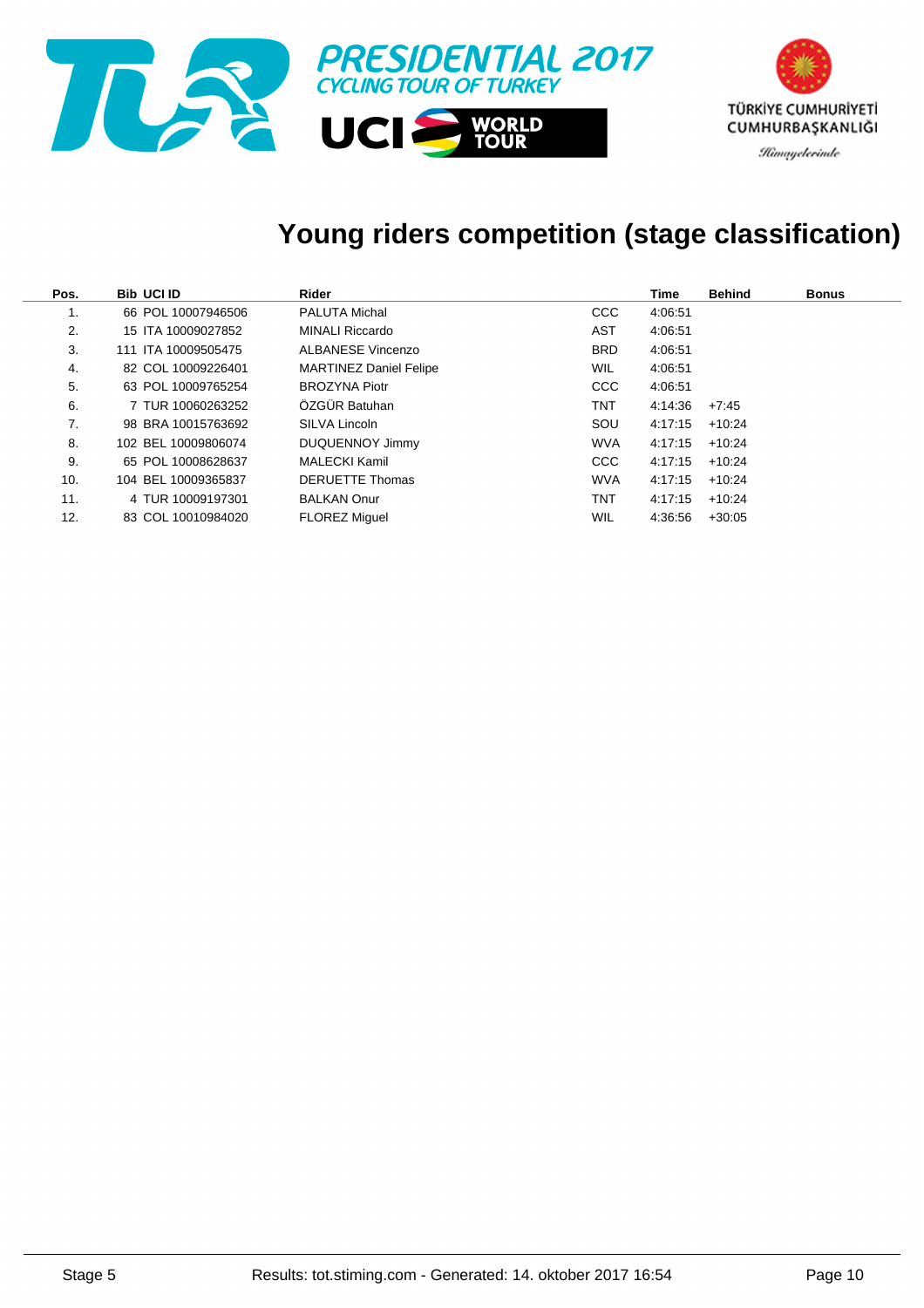

### **Young riders competition (stage classification)**

| Pos. | <b>Bib UCI ID</b>   | Rider                         |            | Time    | <b>Behind</b> | <b>Bonus</b> |
|------|---------------------|-------------------------------|------------|---------|---------------|--------------|
| 1.   | 66 POL 10007946506  | <b>PALUTA Michal</b>          | <b>CCC</b> | 4:06:51 |               |              |
| 2.   | 15 ITA 10009027852  | MINALI Riccardo               | AST        | 4:06:51 |               |              |
| 3.   | 111 ITA 10009505475 | ALBANESE Vincenzo             | <b>BRD</b> | 4:06:51 |               |              |
| 4.   | 82 COL 10009226401  | <b>MARTINEZ Daniel Felipe</b> | <b>WIL</b> | 4:06:51 |               |              |
| 5.   | 63 POL 10009765254  | <b>BROZYNA Piotr</b>          | <b>CCC</b> | 4:06:51 |               |              |
| 6.   | 7 TUR 10060263252   | ÖZGÜR Batuhan                 | TNT        | 4:14:36 | +7:45         |              |
| 7.   | 98 BRA 10015763692  | SILVA Lincoln                 | SOU        | 4:17:15 | $+10:24$      |              |
| 8.   | 102 BEL 10009806074 | DUQUENNOY Jimmy               | <b>WVA</b> | 4:17:15 | $+10:24$      |              |
| 9.   | 65 POL 10008628637  | MALECKI Kamil                 | <b>CCC</b> | 4:17:15 | $+10:24$      |              |
| 10.  | 104 BEL 10009365837 | <b>DERUETTE Thomas</b>        | <b>WVA</b> | 4:17:15 | $+10:24$      |              |
| 11.  | 4 TUR 10009197301   | <b>BALKAN Onur</b>            | TNT        | 4:17:15 | $+10:24$      |              |
| 12.  | 83 COL 10010984020  | <b>FLOREZ Miguel</b>          | WIL        | 4:36:56 | $+30:05$      |              |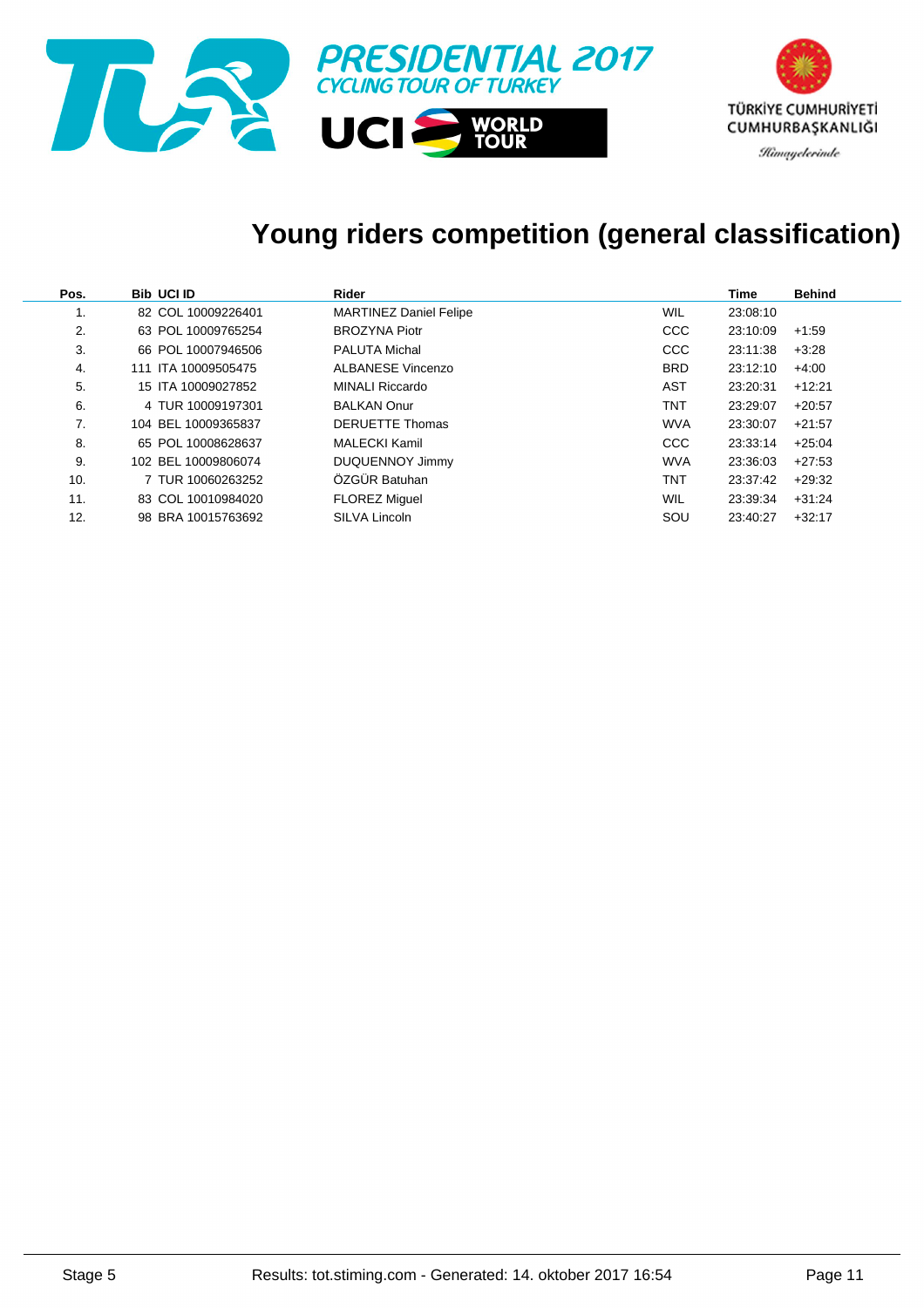

### **Young riders competition (general classification)**

| Pos. | <b>Bib UCI ID</b>   | Rider                         |            | Time     | <b>Behind</b> |
|------|---------------------|-------------------------------|------------|----------|---------------|
| ι.   | 82 COL 10009226401  | <b>MARTINEZ Daniel Felipe</b> | WIL        | 23:08:10 |               |
| 2.   | 63 POL 10009765254  | <b>BROZYNA Piotr</b>          | <b>CCC</b> | 23:10:09 | $+1:59$       |
| 3.   | 66 POL 10007946506  | <b>PALUTA Michal</b>          | <b>CCC</b> | 23:11:38 | $+3.28$       |
| 4.   | 111 ITA 10009505475 | <b>ALBANESE Vincenzo</b>      | <b>BRD</b> | 23:12:10 | $+4:00$       |
| 5.   | 15 ITA 10009027852  | MINALI Riccardo               | AST        | 23:20:31 | $+12:21$      |
| 6.   | 4 TUR 10009197301   | <b>BALKAN Onur</b>            | TNT        | 23:29:07 | $+20:57$      |
| 7.   | 104 BEL 10009365837 | <b>DERUETTE Thomas</b>        | <b>WVA</b> | 23:30:07 | $+21:57$      |
| 8.   | 65 POL 10008628637  | <b>MALECKI Kamil</b>          | <b>CCC</b> | 23:33:14 | $+25:04$      |
| 9.   | 102 BEL 10009806074 | <b>DUQUENNOY Jimmy</b>        | <b>WVA</b> | 23:36:03 | $+27:53$      |
| 10.  | 7 TUR 10060263252   | ÖZGÜR Batuhan                 | <b>TNT</b> | 23:37:42 | $+29:32$      |
| 11.  | 83 COL 10010984020  | <b>FLOREZ Miguel</b>          | WIL        | 23:39:34 | $+31:24$      |
| 12.  | 98 BRA 10015763692  | <b>SILVA Lincoln</b>          | SOU        | 23:40:27 | $+32:17$      |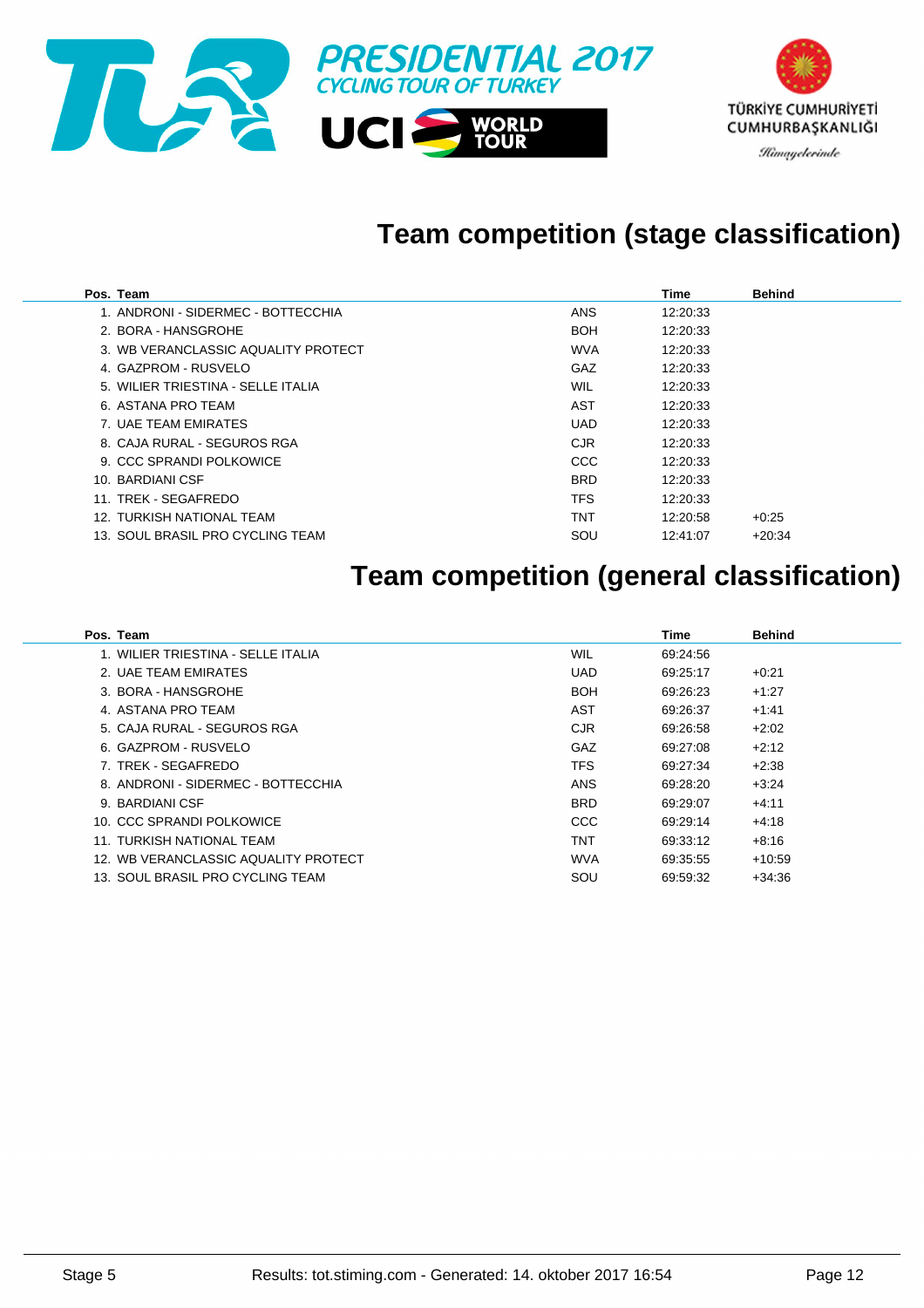

### **Team competition (stage classification)**

| Pos. Team                           |            | Time     | <b>Behind</b> |
|-------------------------------------|------------|----------|---------------|
| 1. ANDRONI - SIDERMEC - BOTTECCHIA  | <b>ANS</b> | 12:20:33 |               |
| 2. BORA - HANSGROHE                 | <b>BOH</b> | 12:20:33 |               |
| 3. WB VERANCLASSIC AQUALITY PROTECT | <b>WVA</b> | 12:20:33 |               |
| 4. GAZPROM - RUSVELO                | GAZ        | 12:20:33 |               |
| 5. WILIER TRIESTINA - SELLE ITALIA  | WIL        | 12:20:33 |               |
| 6. ASTANA PRO TEAM                  | AST        | 12:20:33 |               |
| 7. UAE TEAM EMIRATES                | <b>UAD</b> | 12:20:33 |               |
| 8. CAJA RURAL - SEGUROS RGA         | <b>CJR</b> | 12:20:33 |               |
| 9. CCC SPRANDI POLKOWICE            | <b>CCC</b> | 12:20:33 |               |
| 10. BARDIANI CSF                    | <b>BRD</b> | 12:20:33 |               |
| 11. TREK - SEGAFREDO                | TFS.       | 12:20:33 |               |
| 12. TURKISH NATIONAL TEAM           | TNT        | 12:20:58 | $+0.25$       |
| 13. SOUL BRASIL PRO CYCLING TEAM    | SOU        | 12:41:07 | $+20:34$      |

### **Team competition (general classification)**

| Pos. Team                            |            | Time     | <b>Behind</b> |
|--------------------------------------|------------|----------|---------------|
| 1. WILIER TRIESTINA - SELLE ITALIA   | WIL        | 69:24:56 |               |
| 2. UAE TEAM EMIRATES                 | <b>UAD</b> | 69:25:17 | $+0.21$       |
| 3. BORA - HANSGROHE                  | <b>BOH</b> | 69:26:23 | $+1.27$       |
| 4. ASTANA PRO TEAM                   | AST        | 69.26.37 | $+1.41$       |
| 5. CAJA RURAL - SEGUROS RGA          | <b>CJR</b> | 69:26:58 | $+2:02$       |
| 6. GAZPROM - RUSVELO                 | <b>GAZ</b> | 69:27:08 | $+2:12$       |
| 7. TREK - SEGAFREDO                  | <b>TFS</b> | 69:27:34 | $+2.38$       |
| 8. ANDRONI - SIDERMEC - BOTTECCHIA   | <b>ANS</b> | 69:28:20 | $+3:24$       |
| 9. BARDIANI CSF                      | <b>BRD</b> | 69:29:07 | $+4:11$       |
| 10. CCC SPRANDI POLKOWICE            | CCC        | 69:29:14 | $+4:18$       |
| 11. TURKISH NATIONAL TEAM            | TNT        | 69:33:12 | $+8:16$       |
| 12. WB VERANCLASSIC AQUALITY PROTECT | <b>WVA</b> | 69:35:55 | $+10.59$      |
| 13. SOUL BRASIL PRO CYCLING TEAM     | SOU        | 69:59:32 | $+34.36$      |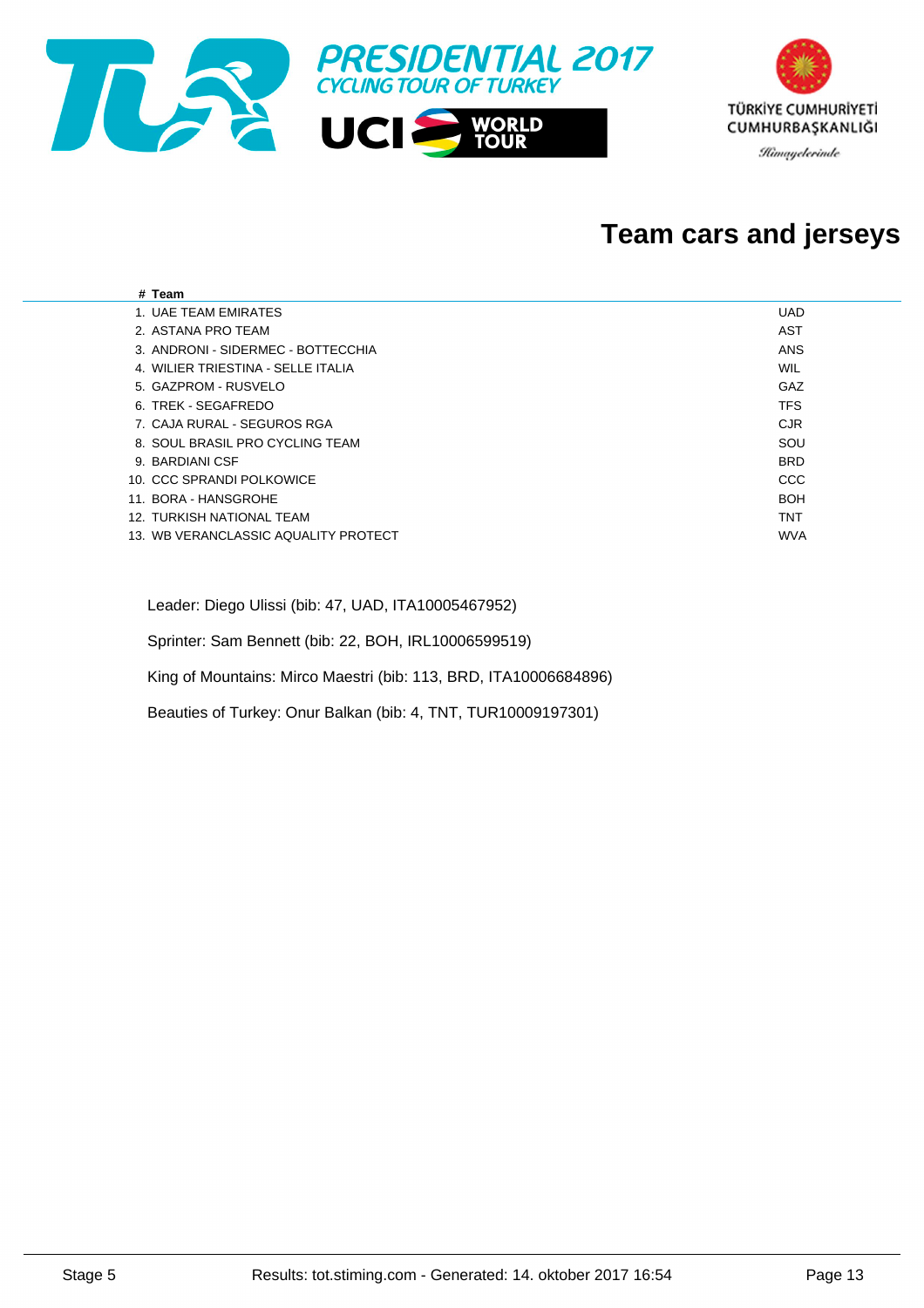

#### **Team cars and jerseys**

| # Team                               |            |
|--------------------------------------|------------|
| 1. UAE TEAM EMIRATES                 | <b>UAD</b> |
| 2. ASTANA PRO TEAM                   | AST        |
| 3. ANDRONI - SIDERMEC - BOTTECCHIA   | ANS        |
| 4. WILIER TRIESTINA - SELLE ITALIA   | WIL        |
| 5. GAZPROM - RUSVELO                 | GAZ        |
| 6. TREK - SEGAFREDO                  | <b>TFS</b> |
| 7. CAJA RURAL - SEGUROS RGA          | <b>CJR</b> |
| 8. SOUL BRASIL PRO CYCLING TEAM      | SOU        |
| 9. BARDIANI CSF                      | <b>BRD</b> |
| 10. CCC SPRANDI POLKOWICE            | CCC        |
| 11. BORA - HANSGROHE                 | <b>BOH</b> |
| 12. TURKISH NATIONAL TEAM            | <b>TNT</b> |
| 13. WB VERANCLASSIC AQUALITY PROTECT | <b>WVA</b> |
|                                      |            |

Leader: Diego Ulissi (bib: 47, UAD, ITA10005467952)

Sprinter: Sam Bennett (bib: 22, BOH, IRL10006599519)

King of Mountains: Mirco Maestri (bib: 113, BRD, ITA10006684896)

Beauties of Turkey: Onur Balkan (bib: 4, TNT, TUR10009197301)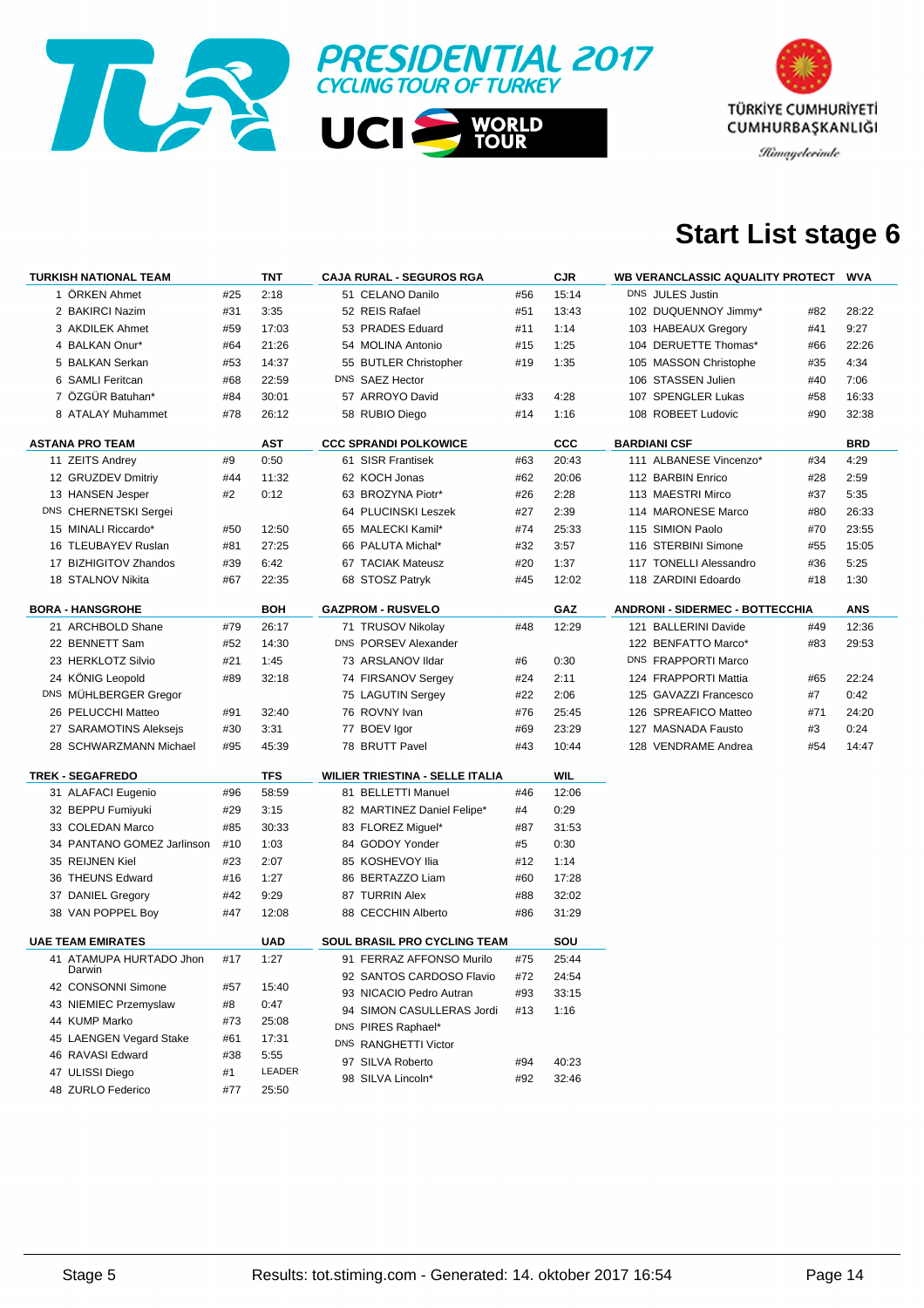



### **Start List stage 6**

| <b>TURKISH NATIONAL TEAM</b> |                                             |     | TNT        | <b>CAJA RURAL - SEGUROS RGA</b> |                                        |     | <b>CJR</b><br>WB VERANCLASSIC AQUALITY PROTECT<br><b>WVA</b> |                                        |     |            |
|------------------------------|---------------------------------------------|-----|------------|---------------------------------|----------------------------------------|-----|--------------------------------------------------------------|----------------------------------------|-----|------------|
|                              | 1 ORKEN Ahmet                               | #25 | 2:18       |                                 | 51 CELANO Danilo                       | #56 | 15:14                                                        | DNS JULES Justin                       |     |            |
|                              | 2 BAKIRCI Nazim                             | #31 | 3:35       |                                 | 52 REIS Rafael                         | #51 | 13:43                                                        | 102 DUQUENNOY Jimmy*                   | #82 | 28:22      |
|                              | 3 AKDILEK Ahmet                             | #59 | 17:03      |                                 | 53 PRADES Eduard                       | #11 | 1:14                                                         | 103 HABEAUX Gregory                    | #41 | 9:27       |
|                              | 4 BALKAN Onur*                              | #64 | 21:26      |                                 | 54 MOLINA Antonio                      | #15 | 1:25                                                         | 104 DERUETTE Thomas*                   | #66 | 22:26      |
|                              | 5 BALKAN Serkan                             | #53 | 14:37      |                                 | 55 BUTLER Christopher                  | #19 | 1:35                                                         | 105 MASSON Christophe                  | #35 | 4:34       |
|                              | 6 SAMLI Feritcan                            | #68 | 22:59      |                                 | DNS SAEZ Hector                        |     |                                                              | 106 STASSEN Julien                     | #40 | 7:06       |
|                              | 7 ÖZGÜR Batuhan*                            | #84 | 30:01      |                                 | 57 ARROYO David                        | #33 | 4:28                                                         | 107 SPENGLER Lukas                     | #58 | 16:33      |
|                              | 8 ATALAY Muhammet                           | #78 | 26:12      |                                 | 58 RUBIO Diego                         | #14 | 1:16                                                         | 108 ROBEET Ludovic                     | #90 | 32:38      |
|                              | <b>ASTANA PRO TEAM</b>                      |     | AST        |                                 | <b>CCC SPRANDI POLKOWICE</b>           |     | $_{\rm ccc}$                                                 | <b>BARDIANI CSF</b>                    |     | <b>BRD</b> |
|                              |                                             |     | 0:50       |                                 | 61 SISR Frantisek                      |     |                                                              | 111 ALBANESE Vincenzo*                 | #34 |            |
|                              | 11 ZEITS Andrey                             | #9  |            |                                 |                                        | #63 | 20:43                                                        |                                        |     | 4:29       |
|                              | 12 GRUZDEV Dmitriy                          | #44 | 11:32      |                                 | 62 KOCH Jonas                          | #62 | 20:06                                                        | 112 BARBIN Enrico                      | #28 | 2:59       |
|                              | 13 HANSEN Jesper                            | #2  | 0:12       |                                 | 63 BROZYNA Piotr*                      | #26 | 2:28                                                         | 113 MAESTRI Mirco                      | #37 | 5:35       |
|                              | DNS CHERNETSKI Sergei                       |     |            |                                 | 64 PLUCINSKI Leszek                    | #27 | 2:39                                                         | 114 MARONESE Marco                     | #80 | 26:33      |
|                              | 15 MINALI Riccardo*                         | #50 | 12:50      |                                 | 65 MALECKI Kamil*                      | #74 | 25:33                                                        | 115 SIMION Paolo                       | #70 | 23:55      |
|                              | 16 TLEUBAYEV Ruslan                         | #81 | 27:25      |                                 | 66 PALUTA Michal*                      | #32 | 3:57                                                         | 116 STERBINI Simone                    | #55 | 15:05      |
|                              | 17 BIZHIGITOV Zhandos                       | #39 | 6:42       |                                 | 67 TACIAK Mateusz                      | #20 | 1:37                                                         | 117 TONELLI Alessandro                 | #36 | 5:25       |
|                              | 18 STALNOV Nikita                           | #67 | 22:35      |                                 | 68 STOSZ Patryk                        | #45 | 12:02                                                        | 118 ZARDINI Edoardo                    | #18 | 1:30       |
|                              | <b>BORA - HANSGROHE</b>                     |     | BOH        |                                 | <b>GAZPROM - RUSVELO</b>               |     | GAZ                                                          | <b>ANDRONI - SIDERMEC - BOTTECCHIA</b> |     | <b>ANS</b> |
|                              | 21 ARCHBOLD Shane                           | #79 | 26:17      |                                 | 71 TRUSOV Nikolay                      | #48 | 12:29                                                        | 121 BALLERINI Davide                   | #49 | 12:36      |
|                              | 22 BENNETT Sam                              | #52 | 14:30      |                                 | DNS PORSEV Alexander                   |     |                                                              | 122 BENFATTO Marco*                    | #83 | 29:53      |
|                              | 23 HERKLOTZ Silvio                          | #21 | 1:45       |                                 | 73 ARSLANOV Ildar                      | #6  | 0:30                                                         | DNS FRAPPORTI Marco                    |     |            |
|                              | 24 KÖNIG Leopold                            | #89 | 32:18      |                                 | 74 FIRSANOV Sergey                     | #24 | 2:11                                                         | 124 FRAPPORTI Mattia                   | #65 | 22:24      |
|                              | DNS MÜHLBERGER Gregor                       |     |            |                                 | 75 LAGUTIN Sergey                      | #22 | 2:06                                                         | 125 GAVAZZI Francesco                  | #7  | 0:42       |
|                              | 26 PELUCCHI Matteo                          | #91 | 32:40      |                                 | 76 ROVNY Ivan                          | #76 | 25:45                                                        | 126 SPREAFICO Matteo                   | #71 | 24:20      |
|                              | 27 SARAMOTINS Aleksejs                      | #30 | 3:31       |                                 | 77 BOEV Igor                           | #69 | 23:29                                                        | 127 MASNADA Fausto                     | #3  | 0:24       |
|                              | 28 SCHWARZMANN Michael                      | #95 | 45:39      |                                 | 78 BRUTT Pavel                         | #43 | 10:44                                                        | 128 VENDRAME Andrea                    | #54 | 14:47      |
|                              |                                             |     |            |                                 |                                        |     |                                                              |                                        |     |            |
|                              | <b>TREK - SEGAFREDO</b>                     |     | <b>TFS</b> |                                 | <b>WILIER TRIESTINA - SELLE ITALIA</b> |     | WIL                                                          |                                        |     |            |
|                              | 31 ALAFACI Eugenio                          | #96 | 58:59      |                                 | 81 BELLETTI Manuel                     | #46 | 12:06                                                        |                                        |     |            |
|                              | 32 BEPPU Fumiyuki                           | #29 | 3:15       |                                 | 82 MARTINEZ Daniel Felipe*             | #4  | 0:29                                                         |                                        |     |            |
|                              | 33 COLEDAN Marco                            | #85 | 30:33      |                                 | 83 FLOREZ Miguel*                      | #87 | 31:53                                                        |                                        |     |            |
|                              | 34 PANTANO GOMEZ Jarlinson                  | #10 | 1:03       |                                 | 84 GODOY Yonder                        | #5  | 0:30                                                         |                                        |     |            |
|                              | 35 REIJNEN Kiel                             | #23 | 2:07       |                                 | 85 KOSHEVOY Ilia                       | #12 | 1:14                                                         |                                        |     |            |
|                              | 36 THEUNS Edward                            | #16 | 1:27       |                                 | 86 BERTAZZO Liam                       | #60 | 17:28                                                        |                                        |     |            |
|                              | 37 DANIEL Gregory                           | #42 | 9:29       |                                 | 87 TURRIN Alex                         | #88 | 32:02                                                        |                                        |     |            |
|                              | 38 VAN POPPEL Boy                           | #47 | 12:08      |                                 | 88 CECCHIN Alberto                     | #86 | 31:29                                                        |                                        |     |            |
|                              | <b>UAE TEAM EMIRATES</b>                    |     | UAD        |                                 | SOUL BRASIL PRO CYCLING TEAM           |     | SOU                                                          |                                        |     |            |
|                              | 41 ATAMUPA HURTADO Jhon                     | #17 | 1:27       |                                 | 91 FERRAZ AFFONSO Murilo               | #75 | 25:44                                                        |                                        |     |            |
|                              | Darwin                                      |     |            |                                 | 92 SANTOS CARDOSO Flavio               | #72 | 24:54                                                        |                                        |     |            |
|                              | 42 CONSONNI Simone<br>43 NIEMIEC Przemyslaw | #57 | 15:40      |                                 | 93 NICACIO Pedro Autran                | #93 | 33:15                                                        |                                        |     |            |
|                              |                                             | #8  | 0:47       |                                 | 94 SIMON CASULLERAS Jordi              | #13 | 1:16                                                         |                                        |     |            |
|                              | 44 KUMP Marko                               | #73 | 25:08      |                                 | DNS PIRES Raphael*                     |     |                                                              |                                        |     |            |
|                              | 45 LAENGEN Vegard Stake                     | #61 | 17:31      |                                 | DNS RANGHETTI Victor                   |     |                                                              |                                        |     |            |
|                              | 46 RAVASI Edward                            | #38 | 5:55       |                                 | 97 SILVA Roberto                       | #94 | 40:23                                                        |                                        |     |            |
|                              | 47 ULISSI Diego                             | #1  | LEADER     |                                 | 98 SILVA Lincoln*                      | #92 | 32:46                                                        |                                        |     |            |
|                              | 48 ZURLO Federico                           | #77 | 25:50      |                                 |                                        |     |                                                              |                                        |     |            |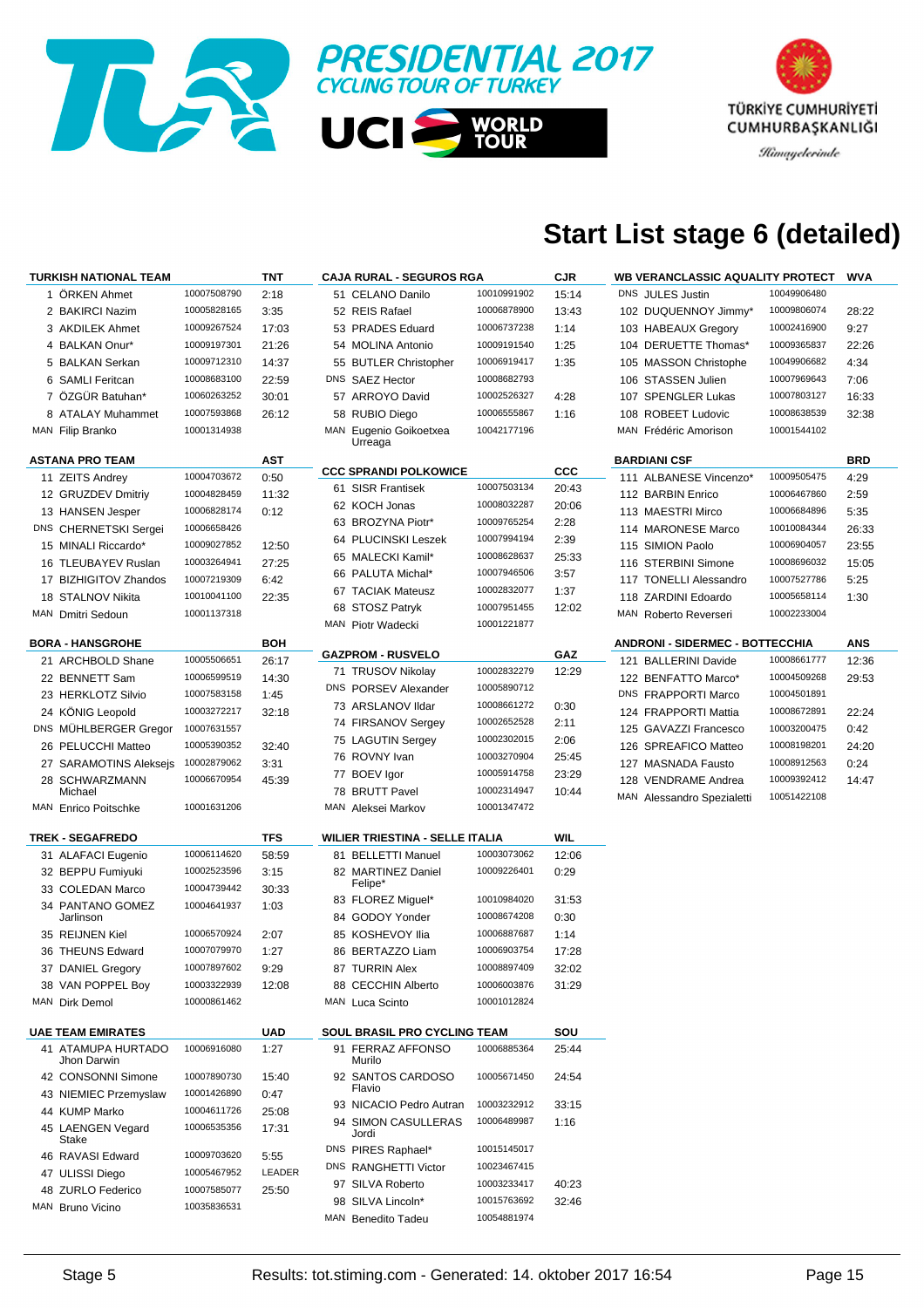

# TÜRKİYE CUMHURİYETİ CUMHURBAŞKANLIĞI

**Himayelerinde** 

# **Start List stage 6 (detailed)**

| <b>TURKISH NATIONAL TEAM</b>      |             | TNT        | <b>CAJA RURAL - SEGUROS RGA</b>     |             | <b>CJR</b>   | <b>WB VERANCLASSIC AQUALITY PROTECT</b> |             | WVA        |
|-----------------------------------|-------------|------------|-------------------------------------|-------------|--------------|-----------------------------------------|-------------|------------|
| 1 ÖRKEN Ahmet                     | 10007508790 | 2:18       | 51 CELANO Danilo                    | 10010991902 | 15:14        | DNS JULES Justin                        | 10049906480 |            |
| 2 BAKIRCI Nazim                   | 10005828165 | 3:35       | 52 REIS Rafael                      | 10006878900 | 13:43        | 102 DUQUENNOY Jimmy*                    | 10009806074 | 28:22      |
| 3 AKDILEK Ahmet                   | 10009267524 | 17:03      | 53 PRADES Eduard                    | 10006737238 | 1:14         | 103 HABEAUX Gregory                     | 10002416900 | 9:27       |
| 4 BALKAN Onur*                    | 10009197301 | 21:26      | 54 MOLINA Antonio                   | 10009191540 | 1:25         | 104 DERUETTE Thomas*                    | 10009365837 | 22:26      |
| 5 BALKAN Serkan                   | 10009712310 | 14:37      | 55 BUTLER Christopher               | 10006919417 | 1:35         | 105 MASSON Christophe                   | 10049906682 | 4:34       |
| 6 SAMLI Feritcan                  | 10008683100 | 22:59      | DNS SAEZ Hector                     | 10008682793 |              | 106 STASSEN Julien                      | 10007969643 | 7:06       |
| 7 ÖZGÜR Batuhan*                  | 10060263252 | 30:01      | 57 ARROYO David                     | 10002526327 | 4:28         | 107 SPENGLER Lukas                      | 10007803127 | 16:33      |
| 8 ATALAY Muhammet                 | 10007593868 | 26:12      | 58 RUBIO Diego                      | 10006555867 | 1:16         | 108 ROBEET Ludovic                      | 10008638539 | 32:38      |
| MAN Filip Branko                  | 10001314938 |            | MAN Eugenio Goikoetxea              | 10042177196 |              | MAN Frédéric Amorison                   | 10001544102 |            |
|                                   |             |            | Urreaga                             |             |              |                                         |             |            |
| <b>ASTANA PRO TEAM</b>            |             | <b>AST</b> |                                     |             |              | <b>BARDIANI CSF</b>                     |             | <b>BRD</b> |
| 11 ZEITS Andrey                   | 10004703672 | 0:50       | <b>CCC SPRANDI POLKOWICE</b>        | 10007503134 | $_{\rm ccc}$ | 111 ALBANESE Vincenzo*                  | 10009505475 | 4:29       |
| 12 GRUZDEV Dmitriy                | 10004828459 | 11:32      | 61 SISR Frantisek                   |             | 20:43        | 112 BARBIN Enrico                       | 10006467860 | 2:59       |
| 13 HANSEN Jesper                  | 10006828174 | 0:12       | 62 KOCH Jonas                       | 10008032287 | 20:06        | 113 MAESTRI Mirco                       | 10006684896 | 5:35       |
| DNS CHERNETSKI Sergei             | 10006658426 |            | 63 BROZYNA Piotr*                   | 10009765254 | 2:28         | 114 MARONESE Marco                      | 10010084344 | 26:33      |
| 15 MINALI Riccardo*               | 10009027852 | 12:50      | 64 PLUCINSKI Leszek                 | 10007994194 | 2:39         | 115 SIMION Paolo                        | 10006904057 | 23:55      |
| 16 TLEUBAYEV Ruslan               | 10003264941 | 27:25      | 65 MALECKI Kamil*                   | 10008628637 | 25:33        | 116 STERBINI Simone                     | 10008696032 | 15:05      |
| 17 BIZHIGITOV Zhandos             | 10007219309 | 6:42       | 66 PALUTA Michal*                   | 10007946506 | 3:57         | 117 TONELLI Alessandro                  | 10007527786 | 5:25       |
| 18 STALNOV Nikita                 | 10010041100 | 22:35      | 67 TACIAK Mateusz                   | 10002832077 | 1:37         | 118 ZARDINI Edoardo                     | 10005658114 | 1:30       |
| MAN Dmitri Sedoun                 | 10001137318 |            | 68 STOSZ Patryk                     | 10007951455 | 12:02        | MAN Roberto Reverseri                   | 10002233004 |            |
|                                   |             |            | MAN Piotr Wadecki                   | 10001221877 |              |                                         |             |            |
| <b>BORA - HANSGROHE</b>           |             | <b>BOH</b> | <b>GAZPROM - RUSVELO</b>            |             | GAZ          | <b>ANDRONI - SIDERMEC - BOTTECCHIA</b>  |             | ANS        |
| 21 ARCHBOLD Shane                 | 10005506651 | 26:17      | 71 TRUSOV Nikolay                   | 10002832279 | 12:29        | 121 BALLERINI Davide                    | 10008661777 | 12:36      |
| 22 BENNETT Sam                    | 10006599519 | 14:30      |                                     | 10005890712 |              | 122 BENFATTO Marco*                     | 10004509268 | 29:53      |
| 23 HERKLOTZ Silvio                | 10007583158 | 1:45       | DNS PORSEV Alexander                |             |              | DNS FRAPPORTI Marco                     | 10004501891 |            |
| 24 KONIG Leopold                  | 10003272217 | 32:18      | 73 ARSLANOV Ildar                   | 10008661272 | 0:30         | 124 FRAPPORTI Mattia                    | 10008672891 | 22:24      |
| DNS MUHLBERGER Gregor             | 10007631557 |            | 74 FIRSANOV Sergey                  | 10002652528 | 2:11         | 125 GAVAZZI Francesco                   | 10003200475 | 0:42       |
| 26 PELUCCHI Matteo                | 10005390352 | 32:40      | 75 LAGUTIN Sergey                   | 10002302015 | 2:06         | 126 SPREAFICO Matteo                    | 10008198201 | 24:20      |
| 27 SARAMOTINS Aleksejs            | 10002879062 | 3:31       | 76 ROVNY Ivan                       | 10003270904 | 25:45        | 127 MASNADA Fausto                      | 10008912563 | 0:24       |
| 28 SCHWARZMANN                    | 10006670954 | 45:39      | 77 BOEV Igor                        | 10005914758 | 23:29        | 128 VENDRAME Andrea                     | 10009392412 | 14:47      |
| Michael                           |             |            | 78 BRUTT Pavel                      | 10002314947 | 10:44        | MAN Alessandro Spezialetti              | 10051422108 |            |
| MAN Enrico Poitschke              | 10001631206 |            | MAN Aleksei Markov                  | 10001347472 |              |                                         |             |            |
| <b>TREK - SEGAFREDO</b>           |             | TFS        | WILIER TRIESTINA - SELLE ITALIA     |             | WIL          |                                         |             |            |
| 31 ALAFACI Eugenio                | 10006114620 | 58:59      | 81 BELLETTI Manuel                  | 10003073062 | 12:06        |                                         |             |            |
| 32 BEPPU Fumiyuki                 | 10002523596 | 3:15       | 82 MARTINEZ Daniel                  | 10009226401 | 0:29         |                                         |             |            |
| 33 COLEDAN Marco                  | 10004739442 |            | Felipe*                             |             |              |                                         |             |            |
| 34 PANTANO GOMEZ                  | 10004641937 | 30:33      | 83 FLOREZ Miguel*                   | 10010984020 | 31:53        |                                         |             |            |
| Jarlinson                         |             | 1:03       | 84 GODOY Yonder                     | 10008674208 | 0:30         |                                         |             |            |
| 35 REIJNEN Kiel                   | 10006570924 | 2:07       | 85 KOSHEVOY Ilia                    | 10006887687 | 1:14         |                                         |             |            |
| 36 THEUNS Edward                  | 10007079970 | 1:27       | 86 BERTAZZO Liam                    | 10006903754 | 17:28        |                                         |             |            |
| 37 DANIEL Gregory                 | 10007897602 | 9:29       | 87 TURRIN Alex                      | 10008897409 | 32:02        |                                         |             |            |
| 38 VAN POPPEL Boy                 | 10003322939 | 12:08      | 88 CECCHIN Alberto                  | 10006003876 | 31:29        |                                         |             |            |
| MAN Dirk Demol                    | 10000861462 |            | MAN Luca Scinto                     | 10001012824 |              |                                         |             |            |
|                                   |             |            |                                     |             |              |                                         |             |            |
| <b>UAE TEAM EMIRATES</b>          |             | UAD        | <b>SOUL BRASIL PRO CYCLING TEAM</b> |             | SOU          |                                         |             |            |
| 41 ATAMUPA HURTADO<br>Jhon Darwin | 10006916080 | 1:27       | 91 FERRAZ AFFONSO<br>Murilo         | 10006885364 | 25:44        |                                         |             |            |
| 42 CONSONNI Simone                | 10007890730 | 15:40      | 92 SANTOS CARDOSO                   | 10005671450 | 24:54        |                                         |             |            |
| 43 NIEMIEC Przemyslaw             | 10001426890 | 0:47       | Flavio                              |             |              |                                         |             |            |
| 44 KUMP Marko                     | 10004611726 | 25:08      | 93 NICACIO Pedro Autran             | 10003232912 | 33:15        |                                         |             |            |
| 45 LAENGEN Vegard<br>Stake        | 10006535356 | 17:31      | 94 SIMON CASULLERAS<br>Jordi        | 10006489987 | 1:16         |                                         |             |            |
| 46 RAVASI Edward                  | 10009703620 | 5:55       | DNS PIRES Raphael*                  | 10015145017 |              |                                         |             |            |
| 47 ULISSI Diego                   | 10005467952 | LEADER     | DNS RANGHETTI Victor                | 10023467415 |              |                                         |             |            |
| 48 ZURLO Federico                 | 10007585077 | 25:50      | 97 SILVA Roberto                    | 10003233417 | 40:23        |                                         |             |            |
| MAN Bruno Vicino                  | 10035836531 |            | 98 SILVA Lincoln*                   | 10015763692 | 32:46        |                                         |             |            |
|                                   |             |            | MAN Benedito Tadeu                  | 10054881974 |              |                                         |             |            |